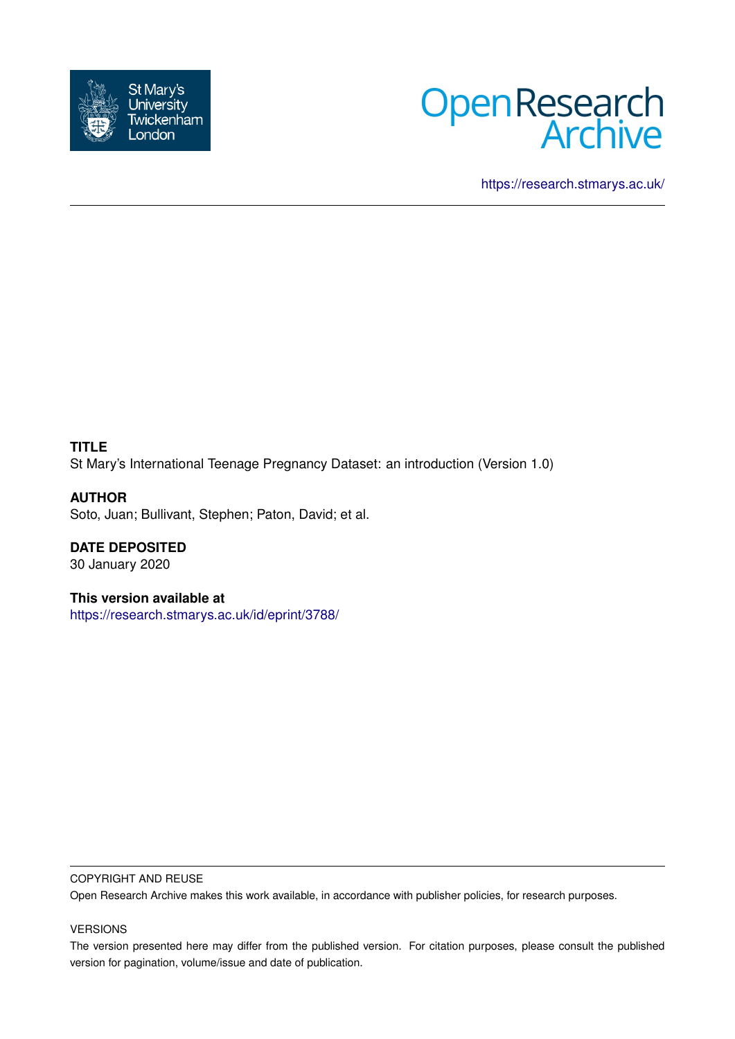



<https://research.stmarys.ac.uk/>

# **TITLE** St Mary's International Teenage Pregnancy Dataset: an introduction (Version 1.0)

**AUTHOR** Soto, Juan; Bullivant, Stephen; Paton, David; et al.

**DATE DEPOSITED** 30 January 2020

**This version available at** <https://research.stmarys.ac.uk/id/eprint/3788/>

#### COPYRIGHT AND REUSE

Open Research Archive makes this work available, in accordance with publisher policies, for research purposes.

#### VERSIONS

The version presented here may differ from the published version. For citation purposes, please consult the published version for pagination, volume/issue and date of publication.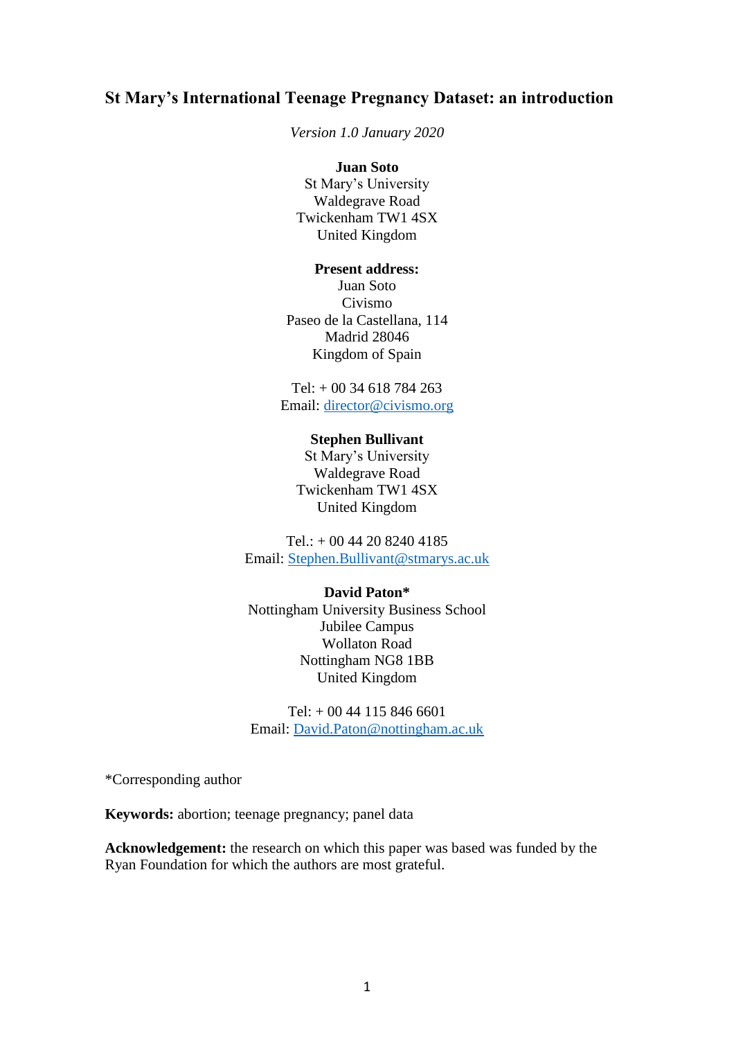# **St Mary's International Teenage Pregnancy Dataset: an introduction**

*Version 1.0 January 2020*

#### **Juan Soto**

St Mary's University Waldegrave Road Twickenham TW1 4SX United Kingdom

#### **Present address:**

Juan Soto Civismo Paseo de la Castellana, 114 Madrid 28046 Kingdom of Spain

Tel: + 00 34 618 784 263 Email: [director@civismo.org](mailto:director@civismo.org)

#### **Stephen Bullivant**

St Mary's University Waldegrave Road Twickenham TW1 4SX United Kingdom

Tel.: + 00 44 20 8240 4185 Email: [Stephen.Bullivant@stmarys.ac.uk](mailto:Stephen.Bullivant@stmarys.ac.uk)

#### **David Paton\***

Nottingham University Business School Jubilee Campus Wollaton Road Nottingham NG8 1BB United Kingdom

Tel: + 00 44 115 846 6601 Email: [David.Paton@nottingham.ac.uk](mailto:David.Paton@nottingham.ac.uk)

\*Corresponding author

**Keywords:** abortion; teenage pregnancy; panel data

**Acknowledgement:** the research on which this paper was based was funded by the Ryan Foundation for which the authors are most grateful.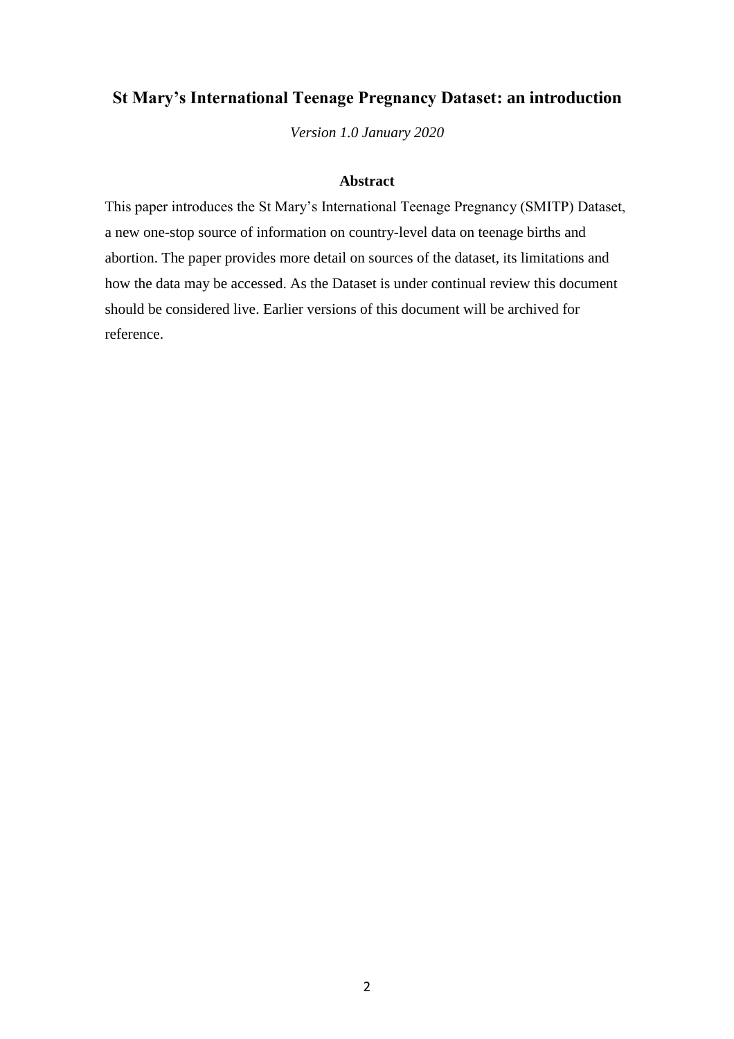# **St Mary's International Teenage Pregnancy Dataset: an introduction**

*Version 1.0 January 2020*

#### **Abstract**

This paper introduces the St Mary's International Teenage Pregnancy (SMITP) Dataset, a new one-stop source of information on country-level data on teenage births and abortion. The paper provides more detail on sources of the dataset, its limitations and how the data may be accessed. As the Dataset is under continual review this document should be considered live. Earlier versions of this document will be archived for reference.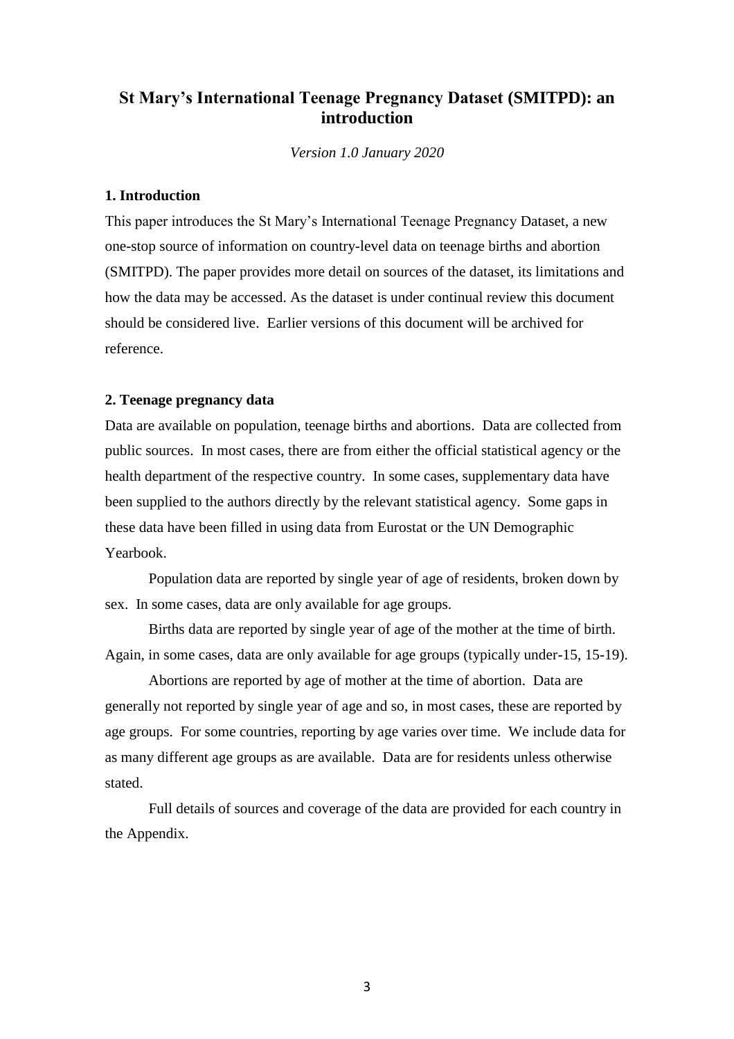# **St Mary's International Teenage Pregnancy Dataset (SMITPD): an introduction**

*Version 1.0 January 2020*

## **1. Introduction**

This paper introduces the St Mary's International Teenage Pregnancy Dataset, a new one-stop source of information on country-level data on teenage births and abortion (SMITPD). The paper provides more detail on sources of the dataset, its limitations and how the data may be accessed. As the dataset is under continual review this document should be considered live. Earlier versions of this document will be archived for reference.

#### **2. Teenage pregnancy data**

Data are available on population, teenage births and abortions. Data are collected from public sources. In most cases, there are from either the official statistical agency or the health department of the respective country. In some cases, supplementary data have been supplied to the authors directly by the relevant statistical agency. Some gaps in these data have been filled in using data from Eurostat or the UN Demographic Yearbook.

Population data are reported by single year of age of residents, broken down by sex. In some cases, data are only available for age groups.

Births data are reported by single year of age of the mother at the time of birth. Again, in some cases, data are only available for age groups (typically under-15, 15-19).

Abortions are reported by age of mother at the time of abortion. Data are generally not reported by single year of age and so, in most cases, these are reported by age groups. For some countries, reporting by age varies over time. We include data for as many different age groups as are available. Data are for residents unless otherwise stated.

Full details of sources and coverage of the data are provided for each country in the Appendix.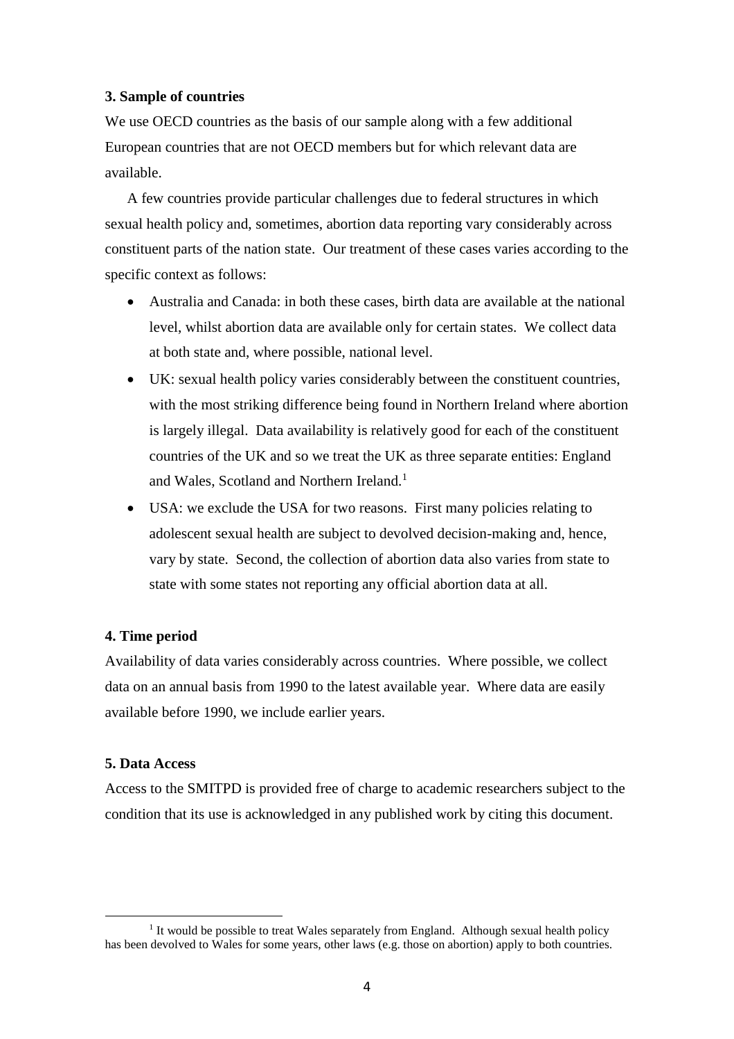#### **3. Sample of countries**

We use OECD countries as the basis of our sample along with a few additional European countries that are not OECD members but for which relevant data are available.

A few countries provide particular challenges due to federal structures in which sexual health policy and, sometimes, abortion data reporting vary considerably across constituent parts of the nation state. Our treatment of these cases varies according to the specific context as follows:

- Australia and Canada: in both these cases, birth data are available at the national level, whilst abortion data are available only for certain states. We collect data at both state and, where possible, national level.
- UK: sexual health policy varies considerably between the constituent countries, with the most striking difference being found in Northern Ireland where abortion is largely illegal. Data availability is relatively good for each of the constituent countries of the UK and so we treat the UK as three separate entities: England and Wales, Scotland and Northern Ireland.<sup>1</sup>
- USA: we exclude the USA for two reasons. First many policies relating to adolescent sexual health are subject to devolved decision-making and, hence, vary by state. Second, the collection of abortion data also varies from state to state with some states not reporting any official abortion data at all.

#### **4. Time period**

Availability of data varies considerably across countries. Where possible, we collect data on an annual basis from 1990 to the latest available year. Where data are easily available before 1990, we include earlier years.

#### **5. Data Access**

-

Access to the SMITPD is provided free of charge to academic researchers subject to the condition that its use is acknowledged in any published work by citing this document.

<sup>&</sup>lt;sup>1</sup> It would be possible to treat Wales separately from England. Although sexual health policy has been devolved to Wales for some years, other laws (e.g. those on abortion) apply to both countries.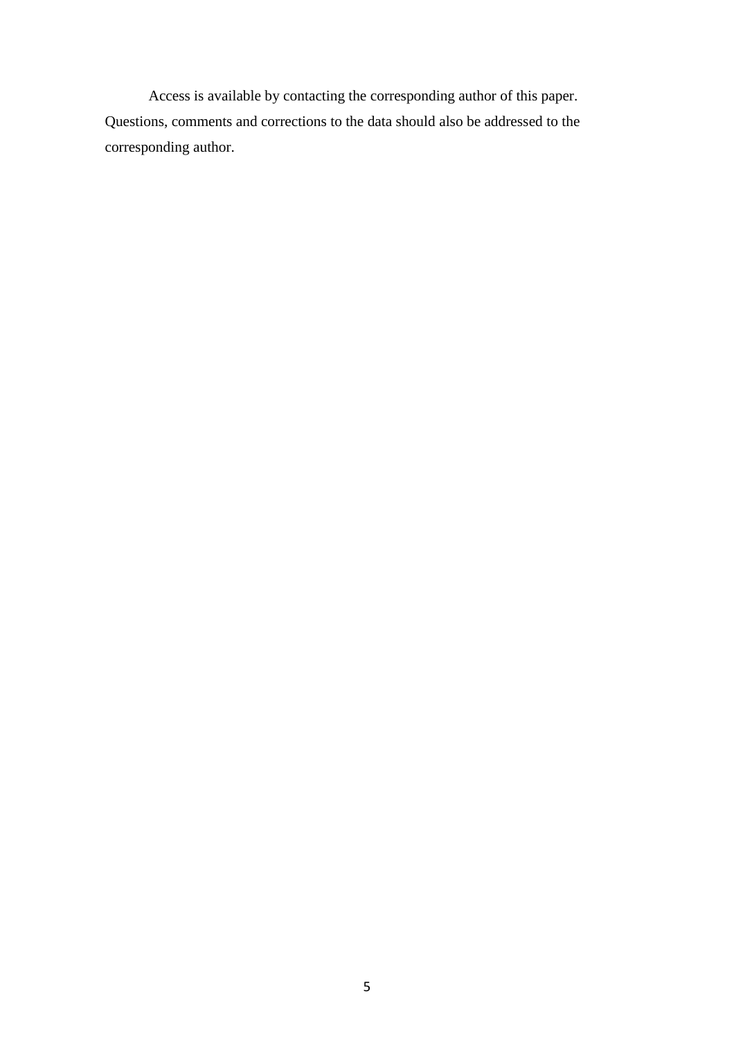Access is available by contacting the corresponding author of this paper. Questions, comments and corrections to the data should also be addressed to the corresponding author.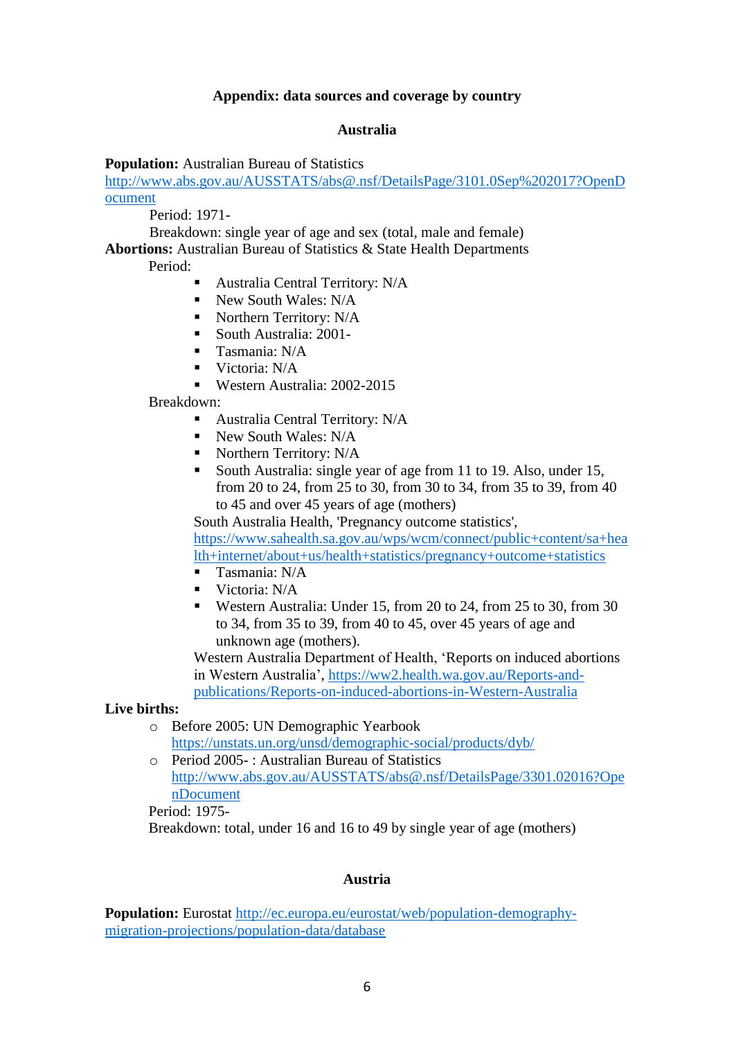## **Appendix: data sources and coverage by country**

#### **Australia**

#### **Population:** Australian Bureau of Statistics

[http://www.abs.gov.au/AUSSTATS/abs@.nsf/DetailsPage/3101.0Sep%202017?OpenD](http://www.abs.gov.au/AUSSTATS/abs@.nsf/DetailsPage/3101.0Sep%202017?OpenDocument) [ocument](http://www.abs.gov.au/AUSSTATS/abs@.nsf/DetailsPage/3101.0Sep%202017?OpenDocument)

Period: 1971-

Breakdown: single year of age and sex (total, male and female)

**Abortions:** Australian Bureau of Statistics & State Health Departments

Period:

- Australia Central Territory: N/A
- New South Wales: N/A
- Northern Territory:  $N/A$
- South Australia: 2001-
- **Tasmania: N/A**
- $\blacksquare$  Victoria: N/A
- Western Australia: 2002-2015

Breakdown:

- **Australia Central Territory: N/A**
- New South Wales: N/A
- Northern Territory: N/A
- South Australia: single year of age from 11 to 19. Also, under 15, from 20 to 24, from 25 to 30, from 30 to 34, from 35 to 39, from 40 to 45 and over 45 years of age (mothers)

South Australia Health, 'Pregnancy outcome statistics', [https://www.sahealth.sa.gov.au/wps/wcm/connect/public+content/sa+hea](https://www.sahealth.sa.gov.au/wps/wcm/connect/public+content/sa+health+internet/about+us/health+statistics/pregnancy+outcome+statistics) [lth+internet/about+us/health+statistics/pregnancy+outcome+statistics](https://www.sahealth.sa.gov.au/wps/wcm/connect/public+content/sa+health+internet/about+us/health+statistics/pregnancy+outcome+statistics)

- Tasmania: N/A
- Victoria: N/A
- Western Australia: Under 15, from 20 to 24, from 25 to 30, from 30 to 34, from 35 to 39, from 40 to 45, over 45 years of age and unknown age (mothers).

Western Australia Department of Health, 'Reports on induced abortions in Western Australia', [https://ww2.health.wa.gov.au/Reports-and](https://ww2.health.wa.gov.au/Reports-and-publications/Reports-on-induced-abortions-in-Western-Australia)[publications/Reports-on-induced-abortions-in-Western-Australia](https://ww2.health.wa.gov.au/Reports-and-publications/Reports-on-induced-abortions-in-Western-Australia)

**Live births:**

- o Before 2005: UN Demographic Yearbook <https://unstats.un.org/unsd/demographic-social/products/dyb/>
- o Period 2005- : Australian Bureau of Statistics [http://www.abs.gov.au/AUSSTATS/abs@.nsf/DetailsPage/3301.02016?Ope](http://www.abs.gov.au/AUSSTATS/abs@.nsf/DetailsPage/3301.02016?OpenDocument) [nDocument](http://www.abs.gov.au/AUSSTATS/abs@.nsf/DetailsPage/3301.02016?OpenDocument)

Period: 1975-

Breakdown: total, under 16 and 16 to 49 by single year of age (mothers)

### **Austria**

**Population:** Eurostat [http://ec.europa.eu/eurostat/web/population-demography](http://ec.europa.eu/eurostat/web/population-demography-migration-projections/population-data/database)[migration-projections/population-data/database](http://ec.europa.eu/eurostat/web/population-demography-migration-projections/population-data/database)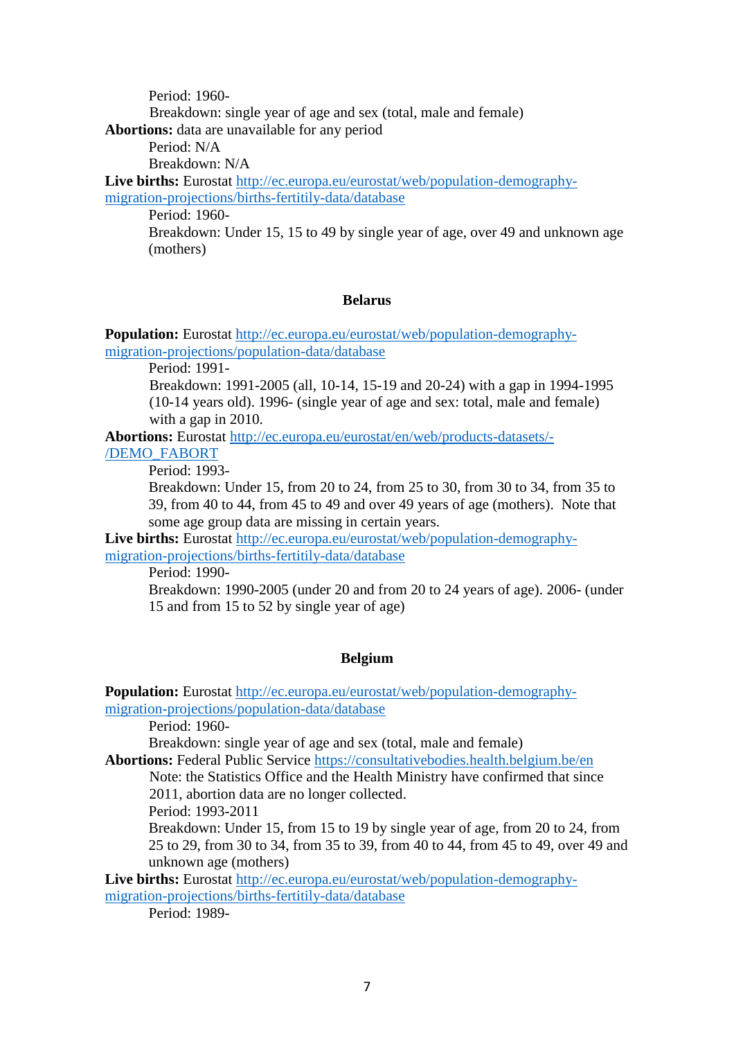Period: 1960- Breakdown: single year of age and sex (total, male and female) **Abortions:** data are unavailable for any period

Period: N/A

Breakdown: N/A

Live births: Eurostat [http://ec.europa.eu/eurostat/web/population-demography](http://ec.europa.eu/eurostat/web/population-demography-migration-projections/births-fertitily-data/database)[migration-projections/births-fertitily-data/database](http://ec.europa.eu/eurostat/web/population-demography-migration-projections/births-fertitily-data/database)

Period: 1960-

Breakdown: Under 15, 15 to 49 by single year of age, over 49 and unknown age (mothers)

### **Belarus**

**Population:** Eurostat [http://ec.europa.eu/eurostat/web/population-demography](http://ec.europa.eu/eurostat/web/population-demography-migration-projections/population-data/database)[migration-projections/population-data/database](http://ec.europa.eu/eurostat/web/population-demography-migration-projections/population-data/database)

Period: 1991-

Breakdown: 1991-2005 (all, 10-14, 15-19 and 20-24) with a gap in 1994-1995 (10-14 years old). 1996- (single year of age and sex: total, male and female) with a gap in 2010.

**Abortions:** Eurostat [http://ec.europa.eu/eurostat/en/web/products-datasets/-](http://ec.europa.eu/eurostat/en/web/products-datasets/-/DEMO_FABORT) [/DEMO\\_FABORT](http://ec.europa.eu/eurostat/en/web/products-datasets/-/DEMO_FABORT)

Period: 1993-

Breakdown: Under 15, from 20 to 24, from 25 to 30, from 30 to 34, from 35 to 39, from 40 to 44, from 45 to 49 and over 49 years of age (mothers). Note that some age group data are missing in certain years.

**Live births:** Eurostat [http://ec.europa.eu/eurostat/web/population-demography](http://ec.europa.eu/eurostat/web/population-demography-migration-projections/births-fertitily-data/database)[migration-projections/births-fertitily-data/database](http://ec.europa.eu/eurostat/web/population-demography-migration-projections/births-fertitily-data/database)

Period: 1990-

Breakdown: 1990-2005 (under 20 and from 20 to 24 years of age). 2006- (under 15 and from 15 to 52 by single year of age)

## **Belgium**

**Population:** Eurostat [http://ec.europa.eu/eurostat/web/population-demography](http://ec.europa.eu/eurostat/web/population-demography-migration-projections/population-data/database)[migration-projections/population-data/database](http://ec.europa.eu/eurostat/web/population-demography-migration-projections/population-data/database)

Period: 1960-

Breakdown: single year of age and sex (total, male and female)

**Abortions:** Federal Public Service<https://consultativebodies.health.belgium.be/en>

Note: the Statistics Office and the Health Ministry have confirmed that since 2011, abortion data are no longer collected.

Period: 1993-2011

Breakdown: Under 15, from 15 to 19 by single year of age, from 20 to 24, from 25 to 29, from 30 to 34, from 35 to 39, from 40 to 44, from 45 to 49, over 49 and unknown age (mothers)

**Live births:** Eurostat [http://ec.europa.eu/eurostat/web/population-demography](http://ec.europa.eu/eurostat/web/population-demography-migration-projections/births-fertitily-data/database)[migration-projections/births-fertitily-data/database](http://ec.europa.eu/eurostat/web/population-demography-migration-projections/births-fertitily-data/database)

Period: 1989-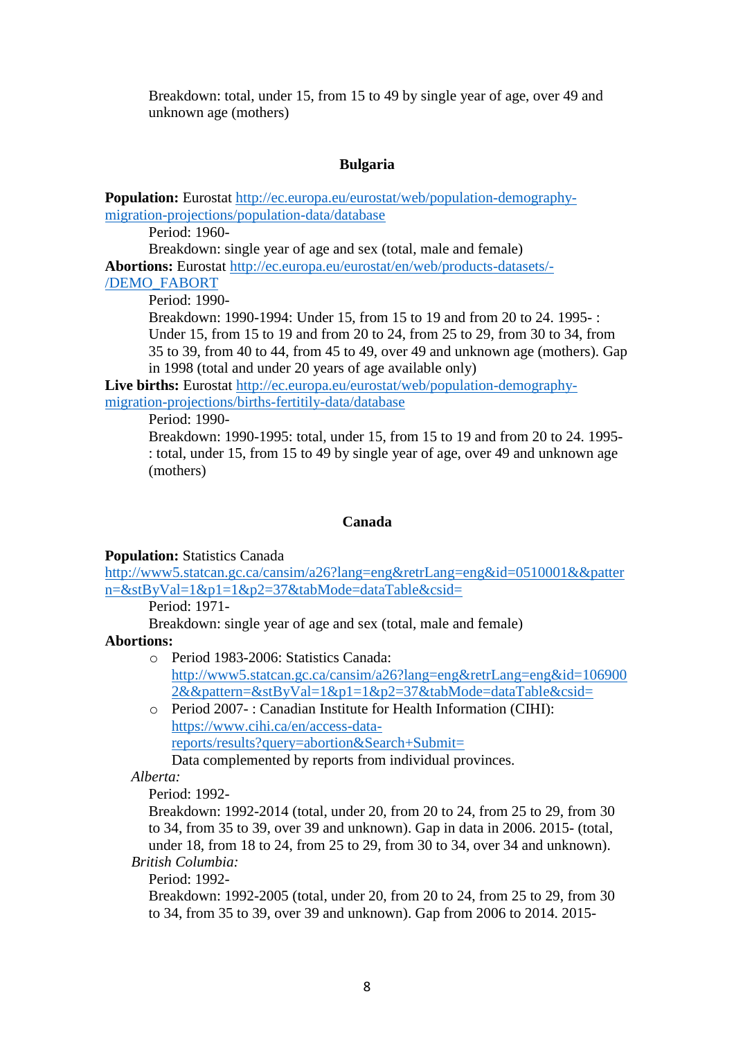Breakdown: total, under 15, from 15 to 49 by single year of age, over 49 and unknown age (mothers)

## **Bulgaria**

**Population:** Eurostat [http://ec.europa.eu/eurostat/web/population-demography](http://ec.europa.eu/eurostat/web/population-demography-migration-projections/population-data/database)[migration-projections/population-data/database](http://ec.europa.eu/eurostat/web/population-demography-migration-projections/population-data/database)

Period: 1960-

Breakdown: single year of age and sex (total, male and female) **Abortions:** Eurostat [http://ec.europa.eu/eurostat/en/web/products-datasets/-](http://ec.europa.eu/eurostat/en/web/products-datasets/-/DEMO_FABORT) [/DEMO\\_FABORT](http://ec.europa.eu/eurostat/en/web/products-datasets/-/DEMO_FABORT)

Period: 1990-

Breakdown: 1990-1994: Under 15, from 15 to 19 and from 20 to 24. 1995- : Under 15, from 15 to 19 and from 20 to 24, from 25 to 29, from 30 to 34, from 35 to 39, from 40 to 44, from 45 to 49, over 49 and unknown age (mothers). Gap in 1998 (total and under 20 years of age available only)

**Live births:** Eurostat [http://ec.europa.eu/eurostat/web/population-demography](http://ec.europa.eu/eurostat/web/population-demography-migration-projections/births-fertitily-data/database)[migration-projections/births-fertitily-data/database](http://ec.europa.eu/eurostat/web/population-demography-migration-projections/births-fertitily-data/database)

Period: 1990-

Breakdown: 1990-1995: total, under 15, from 15 to 19 and from 20 to 24. 1995- : total, under 15, from 15 to 49 by single year of age, over 49 and unknown age (mothers)

## **Canada**

**Population:** Statistics Canada

[http://www5.statcan.gc.ca/cansim/a26?lang=eng&retrLang=eng&id=0510001&&patter](http://www5.statcan.gc.ca/cansim/a26?lang=eng&retrLang=eng&id=0510001&&pattern=&stByVal=1&p1=1&p2=37&tabMode=dataTable&csid=) [n=&stByVal=1&p1=1&p2=37&tabMode=dataTable&csid=](http://www5.statcan.gc.ca/cansim/a26?lang=eng&retrLang=eng&id=0510001&&pattern=&stByVal=1&p1=1&p2=37&tabMode=dataTable&csid=)

Period: 1971-

Breakdown: single year of age and sex (total, male and female)

## **Abortions:**

- o Period 1983-2006: Statistics Canada: [http://www5.statcan.gc.ca/cansim/a26?lang=eng&retrLang=eng&id=106900](http://www5.statcan.gc.ca/cansim/a26?lang=eng&retrLang=eng&id=1069002&&pattern=&stByVal=1&p1=1&p2=37&tabMode=dataTable&csid=) [2&&pattern=&stByVal=1&p1=1&p2=37&tabMode=dataTable&csid=](http://www5.statcan.gc.ca/cansim/a26?lang=eng&retrLang=eng&id=1069002&&pattern=&stByVal=1&p1=1&p2=37&tabMode=dataTable&csid=)
- o Period 2007- : Canadian Institute for Health Information (CIHI): [https://www.cihi.ca/en/access-data](https://www.cihi.ca/en/access-data-reports/results?query=abortion&Search+Submit=)[reports/results?query=abortion&Search+Submit=](https://www.cihi.ca/en/access-data-reports/results?query=abortion&Search+Submit=) Data complemented by reports from individual provinces.

*Alberta:*

Period: 1992-

Breakdown: 1992-2014 (total, under 20, from 20 to 24, from 25 to 29, from 30 to 34, from 35 to 39, over 39 and unknown). Gap in data in 2006. 2015- (total, under 18, from 18 to 24, from 25 to 29, from 30 to 34, over 34 and unknown).

*British Columbia:*

Period: 1992-

Breakdown: 1992-2005 (total, under 20, from 20 to 24, from 25 to 29, from 30 to 34, from 35 to 39, over 39 and unknown). Gap from 2006 to 2014. 2015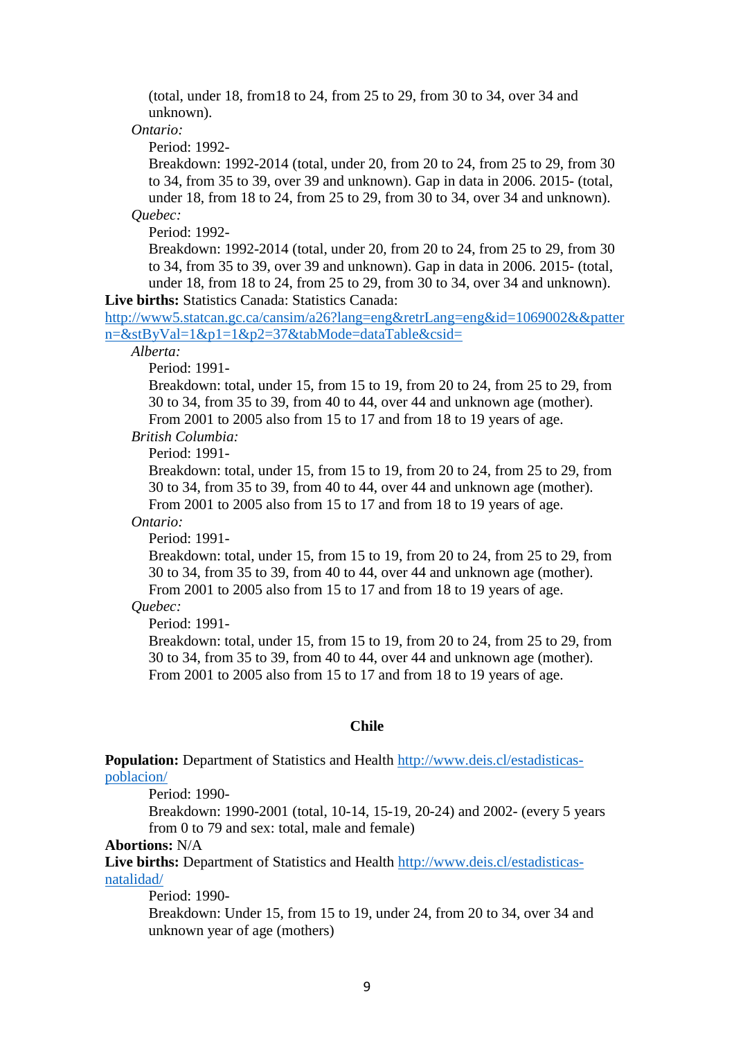(total, under 18, from18 to 24, from 25 to 29, from 30 to 34, over 34 and unknown).

*Ontario:*

Period: 1992-

Breakdown: 1992-2014 (total, under 20, from 20 to 24, from 25 to 29, from 30 to 34, from 35 to 39, over 39 and unknown). Gap in data in 2006. 2015- (total, under 18, from 18 to 24, from 25 to 29, from 30 to 34, over 34 and unknown). *Quebec:*

Period: 1992-

Breakdown: 1992-2014 (total, under 20, from 20 to 24, from 25 to 29, from 30 to 34, from 35 to 39, over 39 and unknown). Gap in data in 2006. 2015- (total, under 18, from 18 to 24, from 25 to 29, from 30 to 34, over 34 and unknown).

**Live births:** Statistics Canada: Statistics Canada:

[http://www5.statcan.gc.ca/cansim/a26?lang=eng&retrLang=eng&id=1069002&&patter](http://www5.statcan.gc.ca/cansim/a26?lang=eng&retrLang=eng&id=1069002&&pattern=&stByVal=1&p1=1&p2=37&tabMode=dataTable&csid=) [n=&stByVal=1&p1=1&p2=37&tabMode=dataTable&csid=](http://www5.statcan.gc.ca/cansim/a26?lang=eng&retrLang=eng&id=1069002&&pattern=&stByVal=1&p1=1&p2=37&tabMode=dataTable&csid=)

*Alberta:*

Period: 1991-

Breakdown: total, under 15, from 15 to 19, from 20 to 24, from 25 to 29, from 30 to 34, from 35 to 39, from 40 to 44, over 44 and unknown age (mother). From 2001 to 2005 also from 15 to 17 and from 18 to 19 years of age.

*British Columbia:*

Period: 1991-

Breakdown: total, under 15, from 15 to 19, from 20 to 24, from 25 to 29, from 30 to 34, from 35 to 39, from 40 to 44, over 44 and unknown age (mother). From 2001 to 2005 also from 15 to 17 and from 18 to 19 years of age.

*Ontario:*

Period: 1991-

Breakdown: total, under 15, from 15 to 19, from 20 to 24, from 25 to 29, from 30 to 34, from 35 to 39, from 40 to 44, over 44 and unknown age (mother). From 2001 to 2005 also from 15 to 17 and from 18 to 19 years of age.

# *Quebec:*

Period: 1991-

Breakdown: total, under 15, from 15 to 19, from 20 to 24, from 25 to 29, from 30 to 34, from 35 to 39, from 40 to 44, over 44 and unknown age (mother). From 2001 to 2005 also from 15 to 17 and from 18 to 19 years of age.

#### **Chile**

**Population:** Department of Statistics and Health [http://www.deis.cl/estadisticas](http://www.deis.cl/estadisticas-poblacion/)[poblacion/](http://www.deis.cl/estadisticas-poblacion/)

Period: 1990-

Breakdown: 1990-2001 (total, 10-14, 15-19, 20-24) and 2002- (every 5 years from 0 to 79 and sex: total, male and female)

### **Abortions:** N/A

**Live births:** Department of Statistics and Health [http://www.deis.cl/estadisticas](http://www.deis.cl/estadisticas-natalidad/)[natalidad/](http://www.deis.cl/estadisticas-natalidad/)

Period: 1990-

Breakdown: Under 15, from 15 to 19, under 24, from 20 to 34, over 34 and unknown year of age (mothers)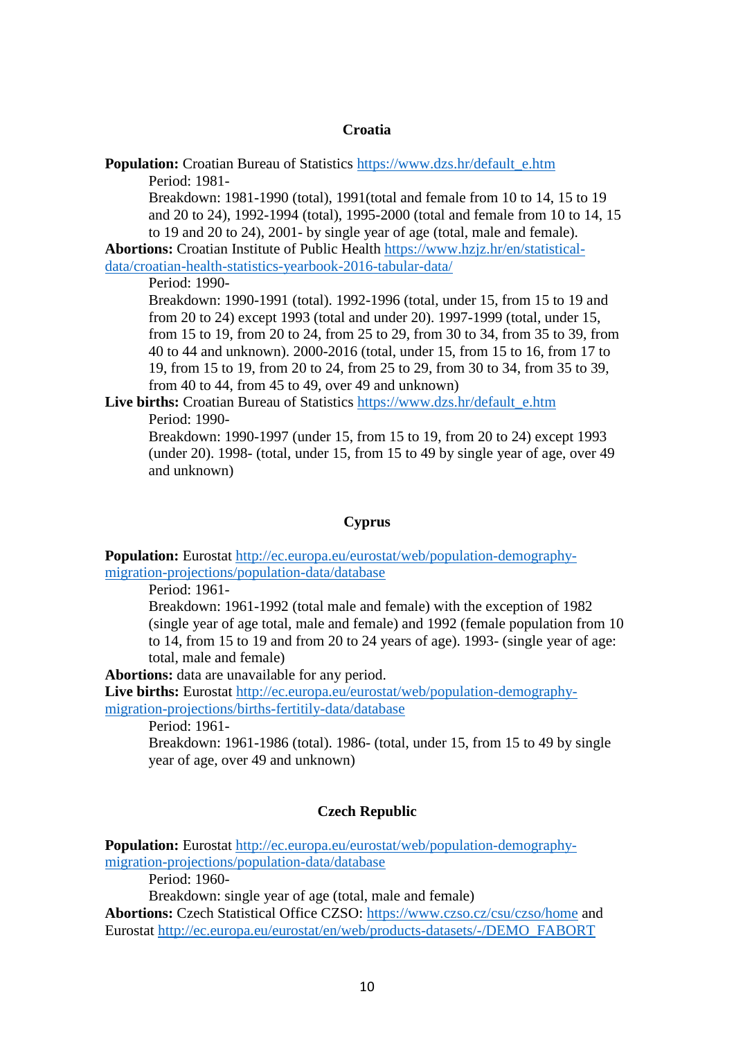#### **Croatia**

**Population:** Croatian Bureau of Statistics [https://www.dzs.hr/default\\_e.htm](https://www.dzs.hr/default_e.htm) Period: 1981-

Breakdown: 1981-1990 (total), 1991(total and female from 10 to 14, 15 to 19 and 20 to 24), 1992-1994 (total), 1995-2000 (total and female from 10 to 14, 15 to 19 and 20 to 24), 2001- by single year of age (total, male and female).

**Abortions:** Croatian Institute of Public Health [https://www.hzjz.hr/en/statistical](https://www.hzjz.hr/en/statistical-data/croatian-health-statistics-yearbook-2016-tabular-data/)[data/croatian-health-statistics-yearbook-2016-tabular-data/](https://www.hzjz.hr/en/statistical-data/croatian-health-statistics-yearbook-2016-tabular-data/)

Period: 1990-

Breakdown: 1990-1991 (total). 1992-1996 (total, under 15, from 15 to 19 and from 20 to 24) except 1993 (total and under 20). 1997-1999 (total, under 15, from 15 to 19, from 20 to 24, from 25 to 29, from 30 to 34, from 35 to 39, from 40 to 44 and unknown). 2000-2016 (total, under 15, from 15 to 16, from 17 to 19, from 15 to 19, from 20 to 24, from 25 to 29, from 30 to 34, from 35 to 39, from 40 to 44, from 45 to 49, over 49 and unknown)

Live births: Croatian Bureau of Statistics [https://www.dzs.hr/default\\_e.htm](https://www.dzs.hr/default_e.htm) Period: 1990-

Breakdown: 1990-1997 (under 15, from 15 to 19, from 20 to 24) except 1993 (under 20). 1998- (total, under 15, from 15 to 49 by single year of age, over 49 and unknown)

### **Cyprus**

**Population:** Eurostat [http://ec.europa.eu/eurostat/web/population-demography](http://ec.europa.eu/eurostat/web/population-demography-migration-projections/population-data/database)[migration-projections/population-data/database](http://ec.europa.eu/eurostat/web/population-demography-migration-projections/population-data/database)

Period: 1961-

Breakdown: 1961-1992 (total male and female) with the exception of 1982 (single year of age total, male and female) and 1992 (female population from 10 to 14, from 15 to 19 and from 20 to 24 years of age). 1993- (single year of age: total, male and female)

**Abortions:** data are unavailable for any period.

**Live births:** Eurostat [http://ec.europa.eu/eurostat/web/population-demography](http://ec.europa.eu/eurostat/web/population-demography-migration-projections/births-fertitily-data/database)[migration-projections/births-fertitily-data/database](http://ec.europa.eu/eurostat/web/population-demography-migration-projections/births-fertitily-data/database)

Period: 1961-

Breakdown: 1961-1986 (total). 1986- (total, under 15, from 15 to 49 by single year of age, over 49 and unknown)

### **Czech Republic**

**Population:** Eurostat [http://ec.europa.eu/eurostat/web/population-demography](http://ec.europa.eu/eurostat/web/population-demography-migration-projections/population-data/database)[migration-projections/population-data/database](http://ec.europa.eu/eurostat/web/population-demography-migration-projections/population-data/database)

Period: 1960-

Breakdown: single year of age (total, male and female)

**Abortions:** Czech Statistical Office CZSO:<https://www.czso.cz/csu/czso/home> and Eurostat [http://ec.europa.eu/eurostat/en/web/products-datasets/-/DEMO\\_FABORT](http://ec.europa.eu/eurostat/en/web/products-datasets/-/DEMO_FABORT)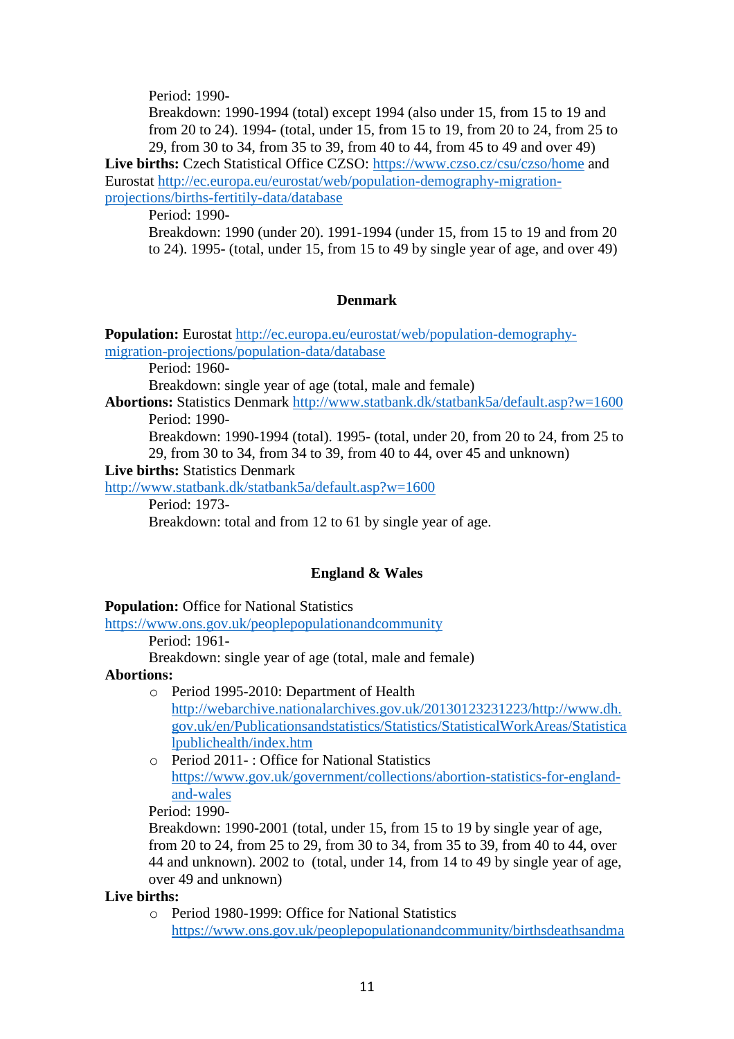Period: 1990-

Breakdown: 1990-1994 (total) except 1994 (also under 15, from 15 to 19 and from 20 to 24). 1994- (total, under 15, from 15 to 19, from 20 to 24, from 25 to 29, from 30 to 34, from 35 to 39, from 40 to 44, from 45 to 49 and over 49)

**Live births:** Czech Statistical Office CZSO:<https://www.czso.cz/csu/czso/home> and Eurostat [http://ec.europa.eu/eurostat/web/population-demography-migration](http://ec.europa.eu/eurostat/web/population-demography-migration-projections/births-fertitily-data/database)[projections/births-fertitily-data/database](http://ec.europa.eu/eurostat/web/population-demography-migration-projections/births-fertitily-data/database)

Period: 1990-

Breakdown: 1990 (under 20). 1991-1994 (under 15, from 15 to 19 and from 20 to 24). 1995- (total, under 15, from 15 to 49 by single year of age, and over 49)

### **Denmark**

**Population:** Eurostat [http://ec.europa.eu/eurostat/web/population-demography](http://ec.europa.eu/eurostat/web/population-demography-migration-projections/population-data/database)[migration-projections/population-data/database](http://ec.europa.eu/eurostat/web/population-demography-migration-projections/population-data/database)

Period: 1960-

Breakdown: single year of age (total, male and female)

**Abortions:** Statistics Denmark<http://www.statbank.dk/statbank5a/default.asp?w=1600> Period: 1990-

Breakdown: 1990-1994 (total). 1995- (total, under 20, from 20 to 24, from 25 to 29, from 30 to 34, from 34 to 39, from 40 to 44, over 45 and unknown)

**Live births:** Statistics Denmark

<http://www.statbank.dk/statbank5a/default.asp?w=1600>

Period: 1973-

Breakdown: total and from 12 to 61 by single year of age.

### **England & Wales**

#### **Population:** Office for National Statistics

<https://www.ons.gov.uk/peoplepopulationandcommunity>

Period: 1961-

Breakdown: single year of age (total, male and female)

#### **Abortions:**

- o Period 1995-2010: Department of Health [http://webarchive.nationalarchives.gov.uk/20130123231223/http://www.dh.](http://webarchive.nationalarchives.gov.uk/20130123231223/http:/www.dh.gov.uk/en/Publicationsandstatistics/Statistics/StatisticalWorkAreas/Statisticalpublichealth/index.htm) [gov.uk/en/Publicationsandstatistics/Statistics/StatisticalWorkAreas/Statistica](http://webarchive.nationalarchives.gov.uk/20130123231223/http:/www.dh.gov.uk/en/Publicationsandstatistics/Statistics/StatisticalWorkAreas/Statisticalpublichealth/index.htm) [lpublichealth/index.htm](http://webarchive.nationalarchives.gov.uk/20130123231223/http:/www.dh.gov.uk/en/Publicationsandstatistics/Statistics/StatisticalWorkAreas/Statisticalpublichealth/index.htm)
- o Period 2011- : Office for National Statistics [https://www.gov.uk/government/collections/abortion-statistics-for-england](https://www.gov.uk/government/collections/abortion-statistics-for-england-and-wales)[and-wales](https://www.gov.uk/government/collections/abortion-statistics-for-england-and-wales)

Period: 1990-

Breakdown: 1990-2001 (total, under 15, from 15 to 19 by single year of age, from 20 to 24, from 25 to 29, from 30 to 34, from 35 to 39, from 40 to 44, over 44 and unknown). 2002 to (total, under 14, from 14 to 49 by single year of age, over 49 and unknown)

### **Live births:**

o Period 1980-1999: Office for National Statistics [https://www.ons.gov.uk/peoplepopulationandcommunity/birthsdeathsandma](https://www.ons.gov.uk/peoplepopulationandcommunity/birthsdeathsandmarriages/livebirths/adhocs/008070livebirthsbyageofmotherandfather1980to1999englandandwales)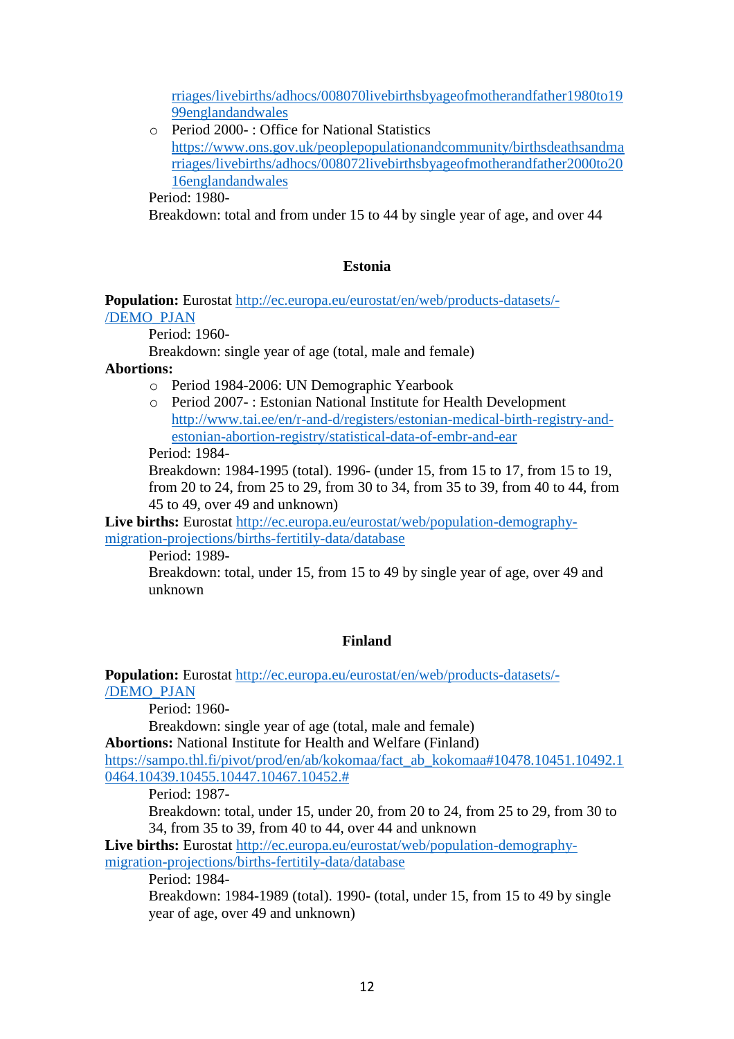[rriages/livebirths/adhocs/008070livebirthsbyageofmotherandfather1980to19](https://www.ons.gov.uk/peoplepopulationandcommunity/birthsdeathsandmarriages/livebirths/adhocs/008070livebirthsbyageofmotherandfather1980to1999englandandwales) [99englandandwales](https://www.ons.gov.uk/peoplepopulationandcommunity/birthsdeathsandmarriages/livebirths/adhocs/008070livebirthsbyageofmotherandfather1980to1999englandandwales)

o Period 2000- : Office for National Statistics [https://www.ons.gov.uk/peoplepopulationandcommunity/birthsdeathsandma](https://www.ons.gov.uk/peoplepopulationandcommunity/birthsdeathsandmarriages/livebirths/adhocs/008072livebirthsbyageofmotherandfather2000to2016englandandwales) [rriages/livebirths/adhocs/008072livebirthsbyageofmotherandfather2000to20](https://www.ons.gov.uk/peoplepopulationandcommunity/birthsdeathsandmarriages/livebirths/adhocs/008072livebirthsbyageofmotherandfather2000to2016englandandwales) [16englandandwales](https://www.ons.gov.uk/peoplepopulationandcommunity/birthsdeathsandmarriages/livebirths/adhocs/008072livebirthsbyageofmotherandfather2000to2016englandandwales)

Period: 1980-

Breakdown: total and from under 15 to 44 by single year of age, and over 44

## **Estonia**

## **Population:** Eurostat [http://ec.europa.eu/eurostat/en/web/products-datasets/-](http://ec.europa.eu/eurostat/en/web/products-datasets/-/DEMO_PJAN) [/DEMO\\_PJAN](http://ec.europa.eu/eurostat/en/web/products-datasets/-/DEMO_PJAN)

Period: 1960-

Breakdown: single year of age (total, male and female)

## **Abortions:**

- o Period 1984-2006: UN Demographic Yearbook
- o Period 2007- : Estonian National Institute for Health Development [http://www.tai.ee/en/r-and-d/registers/estonian-medical-birth-registry-and](http://www.tai.ee/en/r-and-d/registers/estonian-medical-birth-registry-and-estonian-abortion-registry/statistical-data-of-embr-and-ear)[estonian-abortion-registry/statistical-data-of-embr-and-ear](http://www.tai.ee/en/r-and-d/registers/estonian-medical-birth-registry-and-estonian-abortion-registry/statistical-data-of-embr-and-ear)

Period: 1984-

Breakdown: 1984-1995 (total). 1996- (under 15, from 15 to 17, from 15 to 19, from 20 to 24, from 25 to 29, from 30 to 34, from 35 to 39, from 40 to 44, from 45 to 49, over 49 and unknown)

**Live births:** Eurostat [http://ec.europa.eu/eurostat/web/population-demography](http://ec.europa.eu/eurostat/web/population-demography-migration-projections/births-fertitily-data/database)[migration-projections/births-fertitily-data/database](http://ec.europa.eu/eurostat/web/population-demography-migration-projections/births-fertitily-data/database)

Period: 1989-

Breakdown: total, under 15, from 15 to 49 by single year of age, over 49 and unknown

## **Finland**

**Population:** Eurostat [http://ec.europa.eu/eurostat/en/web/products-datasets/-](http://ec.europa.eu/eurostat/en/web/products-datasets/-/DEMO_PJAN) [/DEMO\\_PJAN](http://ec.europa.eu/eurostat/en/web/products-datasets/-/DEMO_PJAN)

Period: 1960-

Breakdown: single year of age (total, male and female)

**Abortions:** National Institute for Health and Welfare (Finland)

[https://sampo.thl.fi/pivot/prod/en/ab/kokomaa/fact\\_ab\\_kokomaa#10478.10451.10492.1](https://sampo.thl.fi/pivot/prod/en/ab/kokomaa/fact_ab_kokomaa#10478.10451.10492.10464.10439.10455.10447.10467.10452.) [0464.10439.10455.10447.10467.10452.#](https://sampo.thl.fi/pivot/prod/en/ab/kokomaa/fact_ab_kokomaa#10478.10451.10492.10464.10439.10455.10447.10467.10452.)

Period: 1987-

Breakdown: total, under 15, under 20, from 20 to 24, from 25 to 29, from 30 to 34, from 35 to 39, from 40 to 44, over 44 and unknown

**Live births:** Eurostat [http://ec.europa.eu/eurostat/web/population-demography](http://ec.europa.eu/eurostat/web/population-demography-migration-projections/births-fertitily-data/database)[migration-projections/births-fertitily-data/database](http://ec.europa.eu/eurostat/web/population-demography-migration-projections/births-fertitily-data/database)

Period: 1984-

Breakdown: 1984-1989 (total). 1990- (total, under 15, from 15 to 49 by single year of age, over 49 and unknown)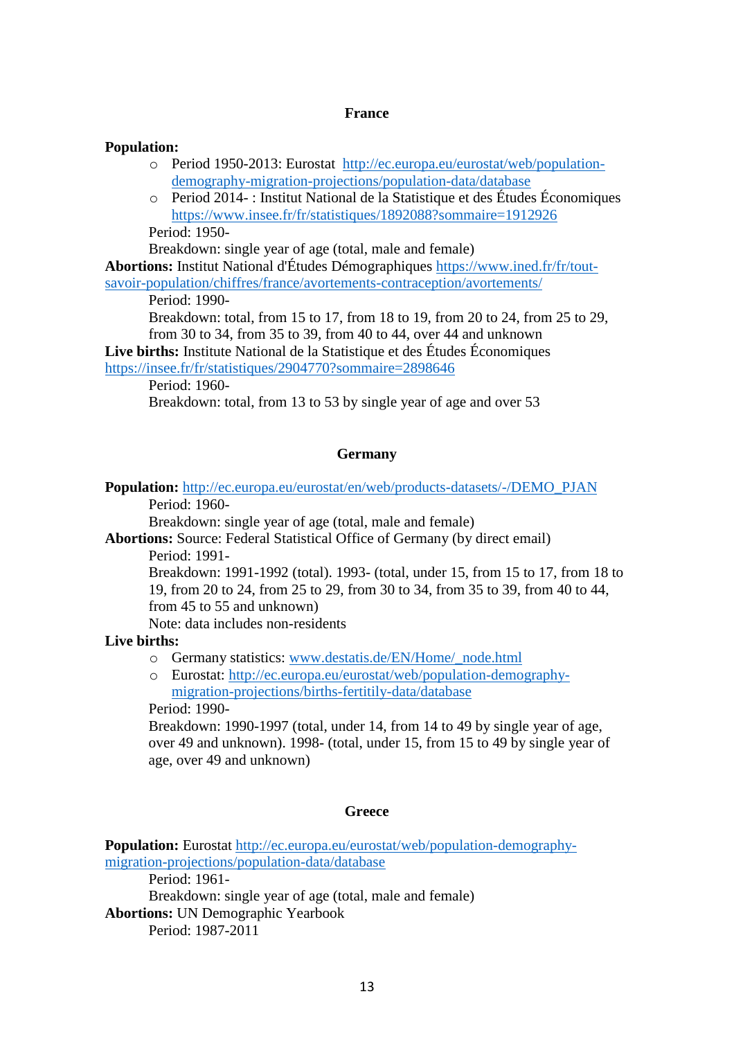### **France**

#### **Population:**

- o Period 1950-2013: Eurostat [http://ec.europa.eu/eurostat/web/population](http://ec.europa.eu/eurostat/web/population-demography-migration-projections/population-data/database)[demography-migration-projections/population-data/database](http://ec.europa.eu/eurostat/web/population-demography-migration-projections/population-data/database)
- o Period 2014- : Institut National de la Statistique et des Études Économiques <https://www.insee.fr/fr/statistiques/1892088?sommaire=1912926> Period: 1950-

Breakdown: single year of age (total, male and female)

**Abortions:** Institut National d'Études Démographiques [https://www.ined.fr/fr/tout-](https://www.ined.fr/fr/tout-savoir-population/chiffres/france/avortements-contraception/avortements/)

[savoir-population/chiffres/france/avortements-contraception/avortements/](https://www.ined.fr/fr/tout-savoir-population/chiffres/france/avortements-contraception/avortements/)

Period: 1990-

Breakdown: total, from 15 to 17, from 18 to 19, from 20 to 24, from 25 to 29, from 30 to 34, from 35 to 39, from 40 to 44, over 44 and unknown

**Live births:** Institute National de la Statistique et des Études Économiques

<https://insee.fr/fr/statistiques/2904770?sommaire=2898646>

Period: 1960-

Breakdown: total, from 13 to 53 by single year of age and over 53

## **Germany**

**Population:** [http://ec.europa.eu/eurostat/en/web/products-datasets/-/DEMO\\_PJAN](http://ec.europa.eu/eurostat/en/web/products-datasets/-/DEMO_PJAN) Period: 1960-

Breakdown: single year of age (total, male and female)

**Abortions:** Source: Federal Statistical Office of Germany (by direct email)

Period: 1991-

Breakdown: 1991-1992 (total). 1993- (total, under 15, from 15 to 17, from 18 to 19, from 20 to 24, from 25 to 29, from 30 to 34, from 35 to 39, from 40 to 44, from 45 to 55 and unknown)

Note: data includes non-residents

## **Live births:**

- o Germany statistics: [www.destatis.de/EN/Home/\\_node.html](http://www.destatis.de/EN/Home/_node.html)
- o Eurostat: [http://ec.europa.eu/eurostat/web/population-demography](http://ec.europa.eu/eurostat/web/population-demography-migration-projections/births-fertitily-data/database)[migration-projections/births-fertitily-data/database](http://ec.europa.eu/eurostat/web/population-demography-migration-projections/births-fertitily-data/database)

Period: 1990-

Breakdown: 1990-1997 (total, under 14, from 14 to 49 by single year of age, over 49 and unknown). 1998- (total, under 15, from 15 to 49 by single year of age, over 49 and unknown)

### **Greece**

**Population:** Eurostat [http://ec.europa.eu/eurostat/web/population-demography](http://ec.europa.eu/eurostat/web/population-demography-migration-projections/population-data/database)[migration-projections/population-data/database](http://ec.europa.eu/eurostat/web/population-demography-migration-projections/population-data/database)

Period: 1961-

Breakdown: single year of age (total, male and female)

**Abortions:** UN Demographic Yearbook

Period: 1987-2011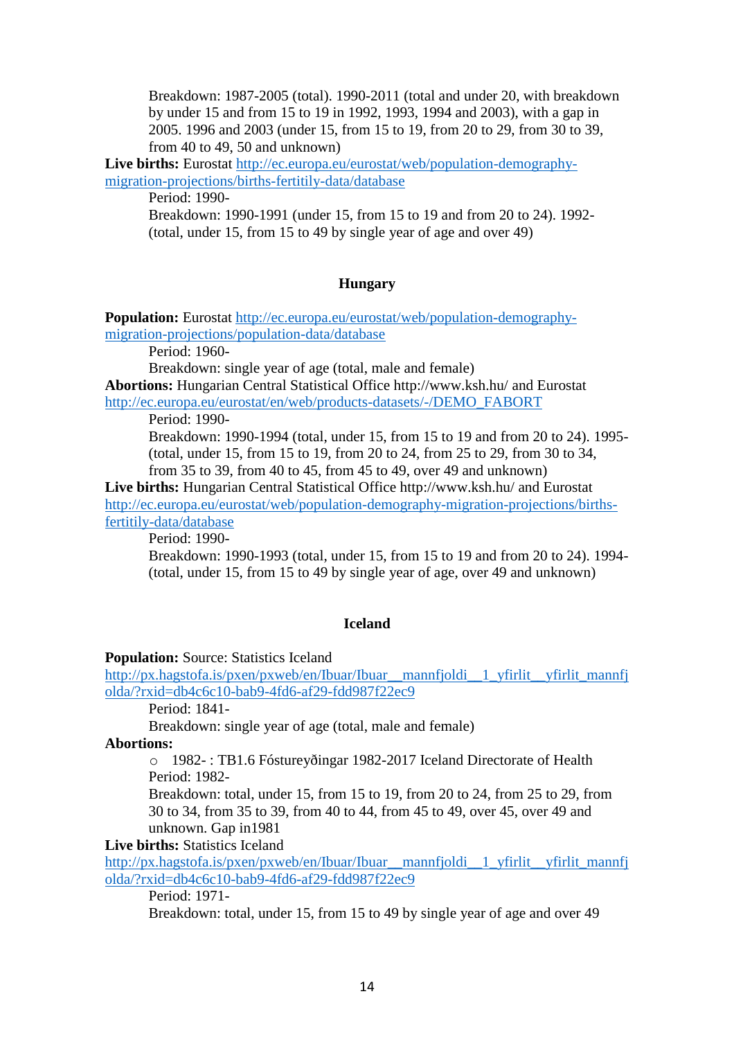Breakdown: 1987-2005 (total). 1990-2011 (total and under 20, with breakdown by under 15 and from 15 to 19 in 1992, 1993, 1994 and 2003), with a gap in 2005. 1996 and 2003 (under 15, from 15 to 19, from 20 to 29, from 30 to 39, from 40 to 49, 50 and unknown)

**Live births:** Eurostat [http://ec.europa.eu/eurostat/web/population-demography](http://ec.europa.eu/eurostat/web/population-demography-migration-projections/births-fertitily-data/database)[migration-projections/births-fertitily-data/database](http://ec.europa.eu/eurostat/web/population-demography-migration-projections/births-fertitily-data/database)

Period: 1990-

Breakdown: 1990-1991 (under 15, from 15 to 19 and from 20 to 24). 1992- (total, under 15, from 15 to 49 by single year of age and over 49)

## **Hungary**

**Population:** Eurostat [http://ec.europa.eu/eurostat/web/population-demography](http://ec.europa.eu/eurostat/web/population-demography-migration-projections/population-data/database)[migration-projections/population-data/database](http://ec.europa.eu/eurostat/web/population-demography-migration-projections/population-data/database)

Period: 1960-

Breakdown: single year of age (total, male and female)

**Abortions:** Hungarian Central Statistical Office http://www.ksh.hu/ and Eurostat [http://ec.europa.eu/eurostat/en/web/products-datasets/-/DEMO\\_FABORT](http://ec.europa.eu/eurostat/en/web/products-datasets/-/DEMO_FABORT)

Period: 1990-

Breakdown: 1990-1994 (total, under 15, from 15 to 19 and from 20 to 24). 1995- (total, under 15, from 15 to 19, from 20 to 24, from 25 to 29, from 30 to 34, from 35 to 39, from 40 to 45, from 45 to 49, over 49 and unknown)

**Live births:** Hungarian Central Statistical Office http://www.ksh.hu/ and Eurostat [http://ec.europa.eu/eurostat/web/population-demography-migration-projections/births](http://ec.europa.eu/eurostat/web/population-demography-migration-projections/births-fertitily-data/database)[fertitily-data/database](http://ec.europa.eu/eurostat/web/population-demography-migration-projections/births-fertitily-data/database)

Period: 1990-

Breakdown: 1990-1993 (total, under 15, from 15 to 19 and from 20 to 24). 1994- (total, under 15, from 15 to 49 by single year of age, over 49 and unknown)

## **Iceland**

### **Population:** Source: Statistics Iceland

[http://px.hagstofa.is/pxen/pxweb/en/Ibuar/Ibuar\\_\\_mannfjoldi\\_\\_1\\_yfirlit\\_\\_yfirlit\\_mannfj](http://px.hagstofa.is/pxen/pxweb/en/Ibuar/Ibuar__mannfjoldi__1_yfirlit__yfirlit_mannfjolda/?rxid=db4c6c10-bab9-4fd6-af29-fdd987f22ec9) [olda/?rxid=db4c6c10-bab9-4fd6-af29-fdd987f22ec9](http://px.hagstofa.is/pxen/pxweb/en/Ibuar/Ibuar__mannfjoldi__1_yfirlit__yfirlit_mannfjolda/?rxid=db4c6c10-bab9-4fd6-af29-fdd987f22ec9)

Period: 1841-

Breakdown: single year of age (total, male and female)

**Abortions:**

o 1982- : TB1.6 Fóstureyðingar 1982-2017 Iceland Directorate of Health Period: 1982-

Breakdown: total, under 15, from 15 to 19, from 20 to 24, from 25 to 29, from 30 to 34, from 35 to 39, from 40 to 44, from 45 to 49, over 45, over 49 and unknown. Gap in1981

**Live births:** Statistics Iceland

[http://px.hagstofa.is/pxen/pxweb/en/Ibuar/Ibuar\\_\\_mannfjoldi\\_\\_1\\_yfirlit\\_\\_yfirlit\\_mannfj](http://px.hagstofa.is/pxen/pxweb/en/Ibuar/Ibuar__mannfjoldi__1_yfirlit__yfirlit_mannfjolda/?rxid=db4c6c10-bab9-4fd6-af29-fdd987f22ec9) [olda/?rxid=db4c6c10-bab9-4fd6-af29-fdd987f22ec9](http://px.hagstofa.is/pxen/pxweb/en/Ibuar/Ibuar__mannfjoldi__1_yfirlit__yfirlit_mannfjolda/?rxid=db4c6c10-bab9-4fd6-af29-fdd987f22ec9)

Period: 1971-

Breakdown: total, under 15, from 15 to 49 by single year of age and over 49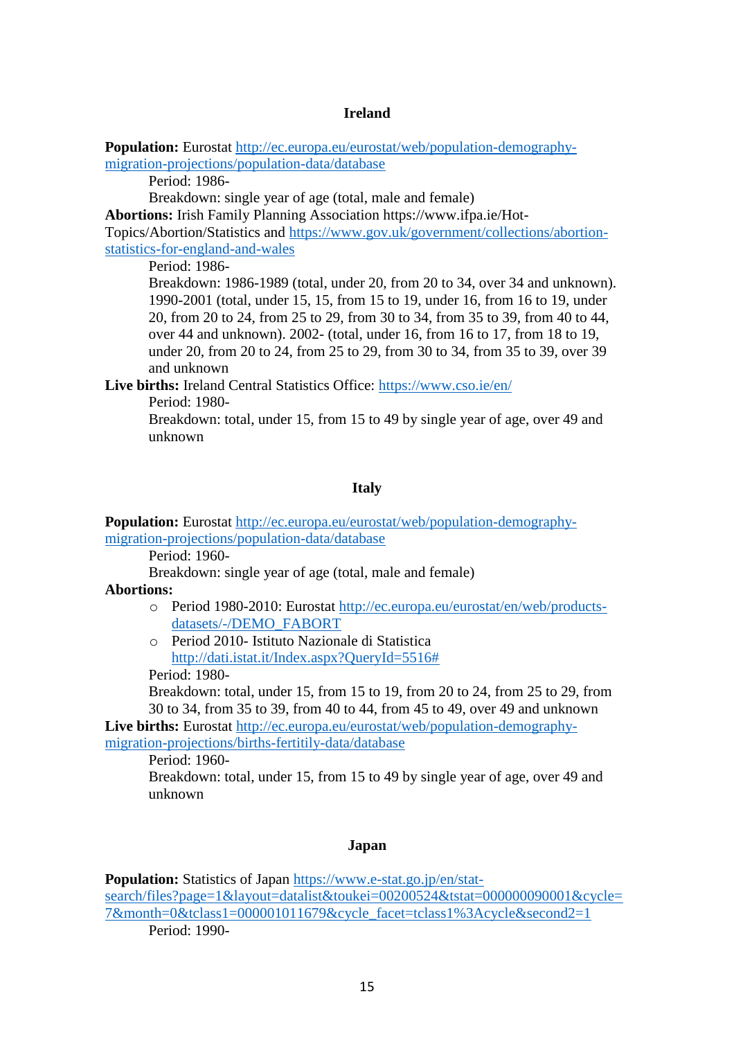#### **Ireland**

**Population:** Eurostat [http://ec.europa.eu/eurostat/web/population-demography](http://ec.europa.eu/eurostat/web/population-demography-migration-projections/population-data/database)[migration-projections/population-data/database](http://ec.europa.eu/eurostat/web/population-demography-migration-projections/population-data/database)

Period: 1986-

Breakdown: single year of age (total, male and female)

**Abortions:** Irish Family Planning Association https://www.ifpa.ie/Hot-

Topics/Abortion/Statistics and [https://www.gov.uk/government/collections/abortion](https://www.gov.uk/government/collections/abortion-statistics-for-england-and-wales)[statistics-for-england-and-wales](https://www.gov.uk/government/collections/abortion-statistics-for-england-and-wales)

Period: 1986-

Breakdown: 1986-1989 (total, under 20, from 20 to 34, over 34 and unknown). 1990-2001 (total, under 15, 15, from 15 to 19, under 16, from 16 to 19, under 20, from 20 to 24, from 25 to 29, from 30 to 34, from 35 to 39, from 40 to 44, over 44 and unknown). 2002- (total, under 16, from 16 to 17, from 18 to 19, under 20, from 20 to 24, from 25 to 29, from 30 to 34, from 35 to 39, over 39 and unknown

**Live births:** Ireland Central Statistics Office:<https://www.cso.ie/en/>

Period: 1980-

Breakdown: total, under 15, from 15 to 49 by single year of age, over 49 and unknown

#### **Italy**

**Population:** Eurostat [http://ec.europa.eu/eurostat/web/population-demography](http://ec.europa.eu/eurostat/web/population-demography-migration-projections/population-data/database)[migration-projections/population-data/database](http://ec.europa.eu/eurostat/web/population-demography-migration-projections/population-data/database)

Period: 1960-

Breakdown: single year of age (total, male and female)

#### **Abortions:**

- o Period 1980-2010: Eurostat [http://ec.europa.eu/eurostat/en/web/products](http://ec.europa.eu/eurostat/en/web/products-datasets/-/DEMO_FABORT)[datasets/-/DEMO\\_FABORT](http://ec.europa.eu/eurostat/en/web/products-datasets/-/DEMO_FABORT)
- o Period 2010- Istituto Nazionale di Statistica [http://dati.istat.it/Index.aspx?QueryId=5516#](http://dati.istat.it/Index.aspx?QueryId=5516)

Period: 1980-

Breakdown: total, under 15, from 15 to 19, from 20 to 24, from 25 to 29, from 30 to 34, from 35 to 39, from 40 to 44, from 45 to 49, over 49 and unknown

**Live births:** Eurostat [http://ec.europa.eu/eurostat/web/population-demography](http://ec.europa.eu/eurostat/web/population-demography-migration-projections/births-fertitily-data/database)[migration-projections/births-fertitily-data/database](http://ec.europa.eu/eurostat/web/population-demography-migration-projections/births-fertitily-data/database)

Period: 1960-

Breakdown: total, under 15, from 15 to 49 by single year of age, over 49 and unknown

#### **Japan**

**Population:** Statistics of Japan [https://www.e-stat.go.jp/en/stat](https://www.e-stat.go.jp/en/stat-search/files?page=1&layout=datalist&toukei=00200524&tstat=000000090001&cycle=7&month=0&tclass1=000001011679&cycle_facet=tclass1%3Acycle&second2=1)[search/files?page=1&layout=datalist&toukei=00200524&tstat=000000090001&cycle=](https://www.e-stat.go.jp/en/stat-search/files?page=1&layout=datalist&toukei=00200524&tstat=000000090001&cycle=7&month=0&tclass1=000001011679&cycle_facet=tclass1%3Acycle&second2=1) [7&month=0&tclass1=000001011679&cycle\\_facet=tclass1%3Acycle&second2=1](https://www.e-stat.go.jp/en/stat-search/files?page=1&layout=datalist&toukei=00200524&tstat=000000090001&cycle=7&month=0&tclass1=000001011679&cycle_facet=tclass1%3Acycle&second2=1) Period: 1990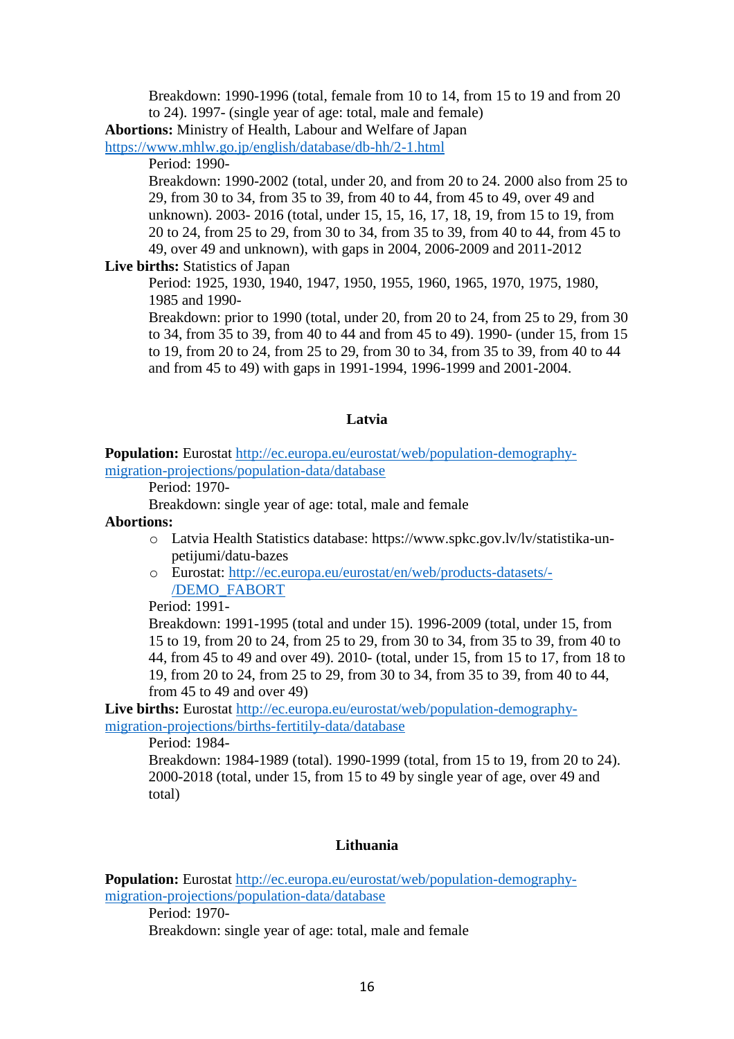Breakdown: 1990-1996 (total, female from 10 to 14, from 15 to 19 and from 20 to 24). 1997- (single year of age: total, male and female)

**Abortions:** Ministry of Health, Labour and Welfare of Japan

<https://www.mhlw.go.jp/english/database/db-hh/2-1.html>

Period: 1990-

Breakdown: 1990-2002 (total, under 20, and from 20 to 24. 2000 also from 25 to 29, from 30 to 34, from 35 to 39, from 40 to 44, from 45 to 49, over 49 and unknown). 2003- 2016 (total, under 15, 15, 16, 17, 18, 19, from 15 to 19, from 20 to 24, from 25 to 29, from 30 to 34, from 35 to 39, from 40 to 44, from 45 to 49, over 49 and unknown), with gaps in 2004, 2006-2009 and 2011-2012

### **Live births:** Statistics of Japan

Period: 1925, 1930, 1940, 1947, 1950, 1955, 1960, 1965, 1970, 1975, 1980, 1985 and 1990-

Breakdown: prior to 1990 (total, under 20, from 20 to 24, from 25 to 29, from 30 to 34, from 35 to 39, from 40 to 44 and from 45 to 49). 1990- (under 15, from 15 to 19, from 20 to 24, from 25 to 29, from 30 to 34, from 35 to 39, from 40 to 44 and from 45 to 49) with gaps in 1991-1994, 1996-1999 and 2001-2004.

#### **Latvia**

**Population:** Eurostat [http://ec.europa.eu/eurostat/web/population-demography](http://ec.europa.eu/eurostat/web/population-demography-migration-projections/population-data/database)[migration-projections/population-data/database](http://ec.europa.eu/eurostat/web/population-demography-migration-projections/population-data/database)

Period: 1970-

Breakdown: single year of age: total, male and female

#### **Abortions:**

- o Latvia Health Statistics database: https://www.spkc.gov.lv/lv/statistika-unpetijumi/datu-bazes
- o Eurostat: [http://ec.europa.eu/eurostat/en/web/products-datasets/-](http://ec.europa.eu/eurostat/en/web/products-datasets/-/DEMO_FABORT) [/DEMO\\_FABORT](http://ec.europa.eu/eurostat/en/web/products-datasets/-/DEMO_FABORT)

Period: 1991-

Breakdown: 1991-1995 (total and under 15). 1996-2009 (total, under 15, from 15 to 19, from 20 to 24, from 25 to 29, from 30 to 34, from 35 to 39, from 40 to 44, from 45 to 49 and over 49). 2010- (total, under 15, from 15 to 17, from 18 to 19, from 20 to 24, from 25 to 29, from 30 to 34, from 35 to 39, from 40 to 44, from 45 to 49 and over 49)

**Live births:** Eurostat [http://ec.europa.eu/eurostat/web/population-demography](http://ec.europa.eu/eurostat/web/population-demography-migration-projections/births-fertitily-data/database)[migration-projections/births-fertitily-data/database](http://ec.europa.eu/eurostat/web/population-demography-migration-projections/births-fertitily-data/database)

Period: 1984-

Breakdown: 1984-1989 (total). 1990-1999 (total, from 15 to 19, from 20 to 24). 2000-2018 (total, under 15, from 15 to 49 by single year of age, over 49 and total)

### **Lithuania**

**Population:** Eurostat [http://ec.europa.eu/eurostat/web/population-demography](http://ec.europa.eu/eurostat/web/population-demography-migration-projections/population-data/database)[migration-projections/population-data/database](http://ec.europa.eu/eurostat/web/population-demography-migration-projections/population-data/database)

Period: 1970-

Breakdown: single year of age: total, male and female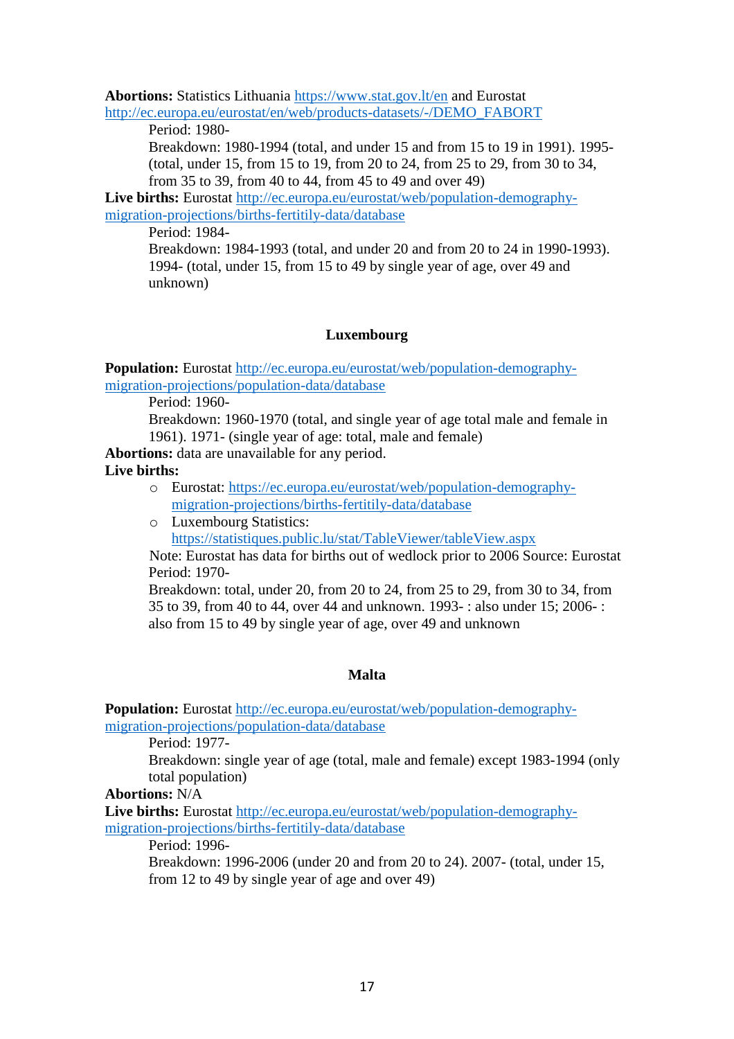**Abortions:** Statistics Lithuania<https://www.stat.gov.lt/en> and Eurostat [http://ec.europa.eu/eurostat/en/web/products-datasets/-/DEMO\\_FABORT](http://ec.europa.eu/eurostat/en/web/products-datasets/-/DEMO_FABORT)

Period: 1980-

Breakdown: 1980-1994 (total, and under 15 and from 15 to 19 in 1991). 1995- (total, under 15, from 15 to 19, from 20 to 24, from 25 to 29, from 30 to 34, from 35 to 39, from 40 to 44, from 45 to 49 and over 49)

**Live births:** Eurostat [http://ec.europa.eu/eurostat/web/population-demography](http://ec.europa.eu/eurostat/web/population-demography-migration-projections/births-fertitily-data/database)[migration-projections/births-fertitily-data/database](http://ec.europa.eu/eurostat/web/population-demography-migration-projections/births-fertitily-data/database)

Period: 1984-

Breakdown: 1984-1993 (total, and under 20 and from 20 to 24 in 1990-1993). 1994- (total, under 15, from 15 to 49 by single year of age, over 49 and unknown)

## **Luxembourg**

**Population:** Eurostat [http://ec.europa.eu/eurostat/web/population-demography](http://ec.europa.eu/eurostat/web/population-demography-migration-projections/population-data/database)[migration-projections/population-data/database](http://ec.europa.eu/eurostat/web/population-demography-migration-projections/population-data/database)

Period: 1960-

Breakdown: 1960-1970 (total, and single year of age total male and female in 1961). 1971- (single year of age: total, male and female)

**Abortions:** data are unavailable for any period.

**Live births:**

- o Eurostat: [https://ec.europa.eu/eurostat/web/population-demography](https://ec.europa.eu/eurostat/web/population-demography-migration-projections/births-fertitily-data/database)[migration-projections/births-fertitily-data/database](https://ec.europa.eu/eurostat/web/population-demography-migration-projections/births-fertitily-data/database)
- o Luxembourg Statistics: <https://statistiques.public.lu/stat/TableViewer/tableView.aspx>

Note: Eurostat has data for births out of wedlock prior to 2006 Source: Eurostat Period: 1970-

Breakdown: total, under 20, from 20 to 24, from 25 to 29, from 30 to 34, from 35 to 39, from 40 to 44, over 44 and unknown. 1993- : also under 15; 2006- : also from 15 to 49 by single year of age, over 49 and unknown

# **Malta**

**Population:** Eurostat [http://ec.europa.eu/eurostat/web/population-demography](http://ec.europa.eu/eurostat/web/population-demography-migration-projections/population-data/database)[migration-projections/population-data/database](http://ec.europa.eu/eurostat/web/population-demography-migration-projections/population-data/database)

Period: 1977-

Breakdown: single year of age (total, male and female) except 1983-1994 (only total population)

**Abortions:** N/A

Live births: Eurostat [http://ec.europa.eu/eurostat/web/population-demography](http://ec.europa.eu/eurostat/web/population-demography-migration-projections/births-fertitily-data/database)[migration-projections/births-fertitily-data/database](http://ec.europa.eu/eurostat/web/population-demography-migration-projections/births-fertitily-data/database)

Period: 1996-

Breakdown: 1996-2006 (under 20 and from 20 to 24). 2007- (total, under 15, from 12 to 49 by single year of age and over 49)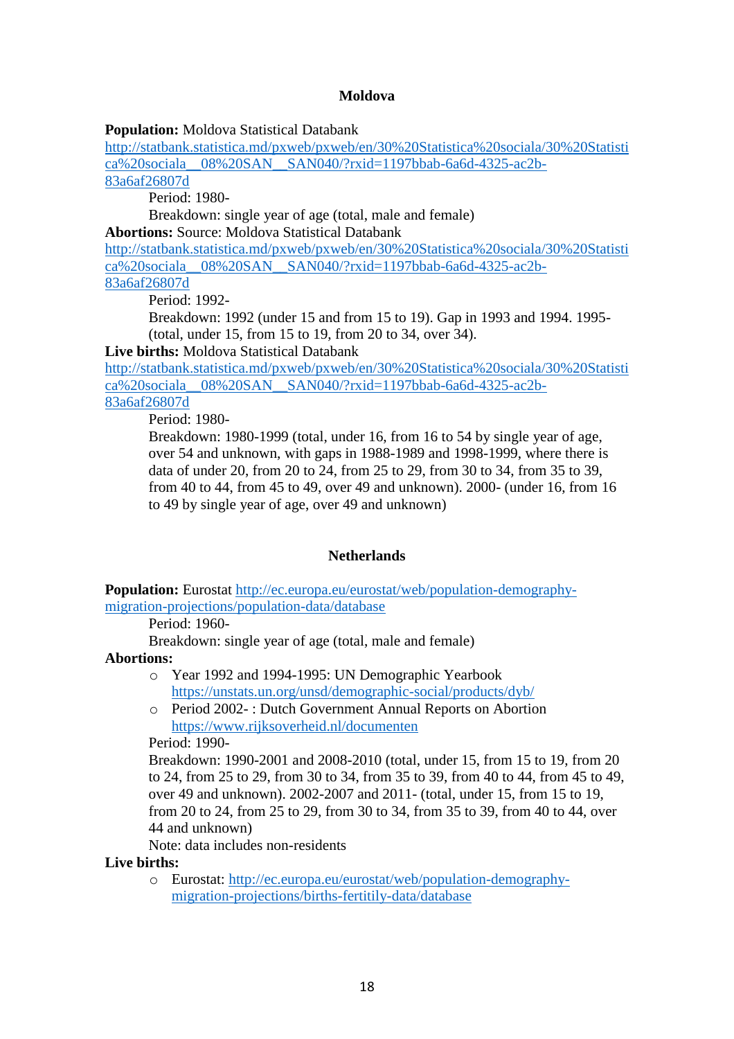### **Moldova**

**Population:** Moldova Statistical Databank

[http://statbank.statistica.md/pxweb/pxweb/en/30%20Statistica%20sociala/30%20Statisti](http://statbank.statistica.md/pxweb/pxweb/en/30%20Statistica%20sociala/30%20Statistica%20sociala__08%20SAN__SAN040/?rxid=1197bbab-6a6d-4325-ac2b-83a6af26807d) [ca%20sociala\\_\\_08%20SAN\\_\\_SAN040/?rxid=1197bbab-6a6d-4325-ac2b-](http://statbank.statistica.md/pxweb/pxweb/en/30%20Statistica%20sociala/30%20Statistica%20sociala__08%20SAN__SAN040/?rxid=1197bbab-6a6d-4325-ac2b-83a6af26807d)

[83a6af26807d](http://statbank.statistica.md/pxweb/pxweb/en/30%20Statistica%20sociala/30%20Statistica%20sociala__08%20SAN__SAN040/?rxid=1197bbab-6a6d-4325-ac2b-83a6af26807d)

Period: 1980-

Breakdown: single year of age (total, male and female)

**Abortions:** Source: Moldova Statistical Databank

[http://statbank.statistica.md/pxweb/pxweb/en/30%20Statistica%20sociala/30%20Statisti](http://statbank.statistica.md/pxweb/pxweb/en/30%20Statistica%20sociala/30%20Statistica%20sociala__08%20SAN__SAN040/?rxid=1197bbab-6a6d-4325-ac2b-83a6af26807d) [ca%20sociala\\_\\_08%20SAN\\_\\_SAN040/?rxid=1197bbab-6a6d-4325-ac2b-](http://statbank.statistica.md/pxweb/pxweb/en/30%20Statistica%20sociala/30%20Statistica%20sociala__08%20SAN__SAN040/?rxid=1197bbab-6a6d-4325-ac2b-83a6af26807d)[83a6af26807d](http://statbank.statistica.md/pxweb/pxweb/en/30%20Statistica%20sociala/30%20Statistica%20sociala__08%20SAN__SAN040/?rxid=1197bbab-6a6d-4325-ac2b-83a6af26807d)

Period: 1992-

Breakdown: 1992 (under 15 and from 15 to 19). Gap in 1993 and 1994. 1995- (total, under 15, from 15 to 19, from 20 to 34, over 34).

**Live births:** Moldova Statistical Databank

[http://statbank.statistica.md/pxweb/pxweb/en/30%20Statistica%20sociala/30%20Statisti](http://statbank.statistica.md/pxweb/pxweb/en/30%20Statistica%20sociala/30%20Statistica%20sociala__08%20SAN__SAN040/?rxid=1197bbab-6a6d-4325-ac2b-83a6af26807d) [ca%20sociala\\_\\_08%20SAN\\_\\_SAN040/?rxid=1197bbab-6a6d-4325-ac2b-](http://statbank.statistica.md/pxweb/pxweb/en/30%20Statistica%20sociala/30%20Statistica%20sociala__08%20SAN__SAN040/?rxid=1197bbab-6a6d-4325-ac2b-83a6af26807d)[83a6af26807d](http://statbank.statistica.md/pxweb/pxweb/en/30%20Statistica%20sociala/30%20Statistica%20sociala__08%20SAN__SAN040/?rxid=1197bbab-6a6d-4325-ac2b-83a6af26807d)

Period: 1980-

Breakdown: 1980-1999 (total, under 16, from 16 to 54 by single year of age, over 54 and unknown, with gaps in 1988-1989 and 1998-1999, where there is data of under 20, from 20 to 24, from 25 to 29, from 30 to 34, from 35 to 39, from 40 to 44, from 45 to 49, over 49 and unknown). 2000- (under 16, from 16 to 49 by single year of age, over 49 and unknown)

## **Netherlands**

**Population:** Eurostat [http://ec.europa.eu/eurostat/web/population-demography](http://ec.europa.eu/eurostat/web/population-demography-migration-projections/population-data/database)[migration-projections/population-data/database](http://ec.europa.eu/eurostat/web/population-demography-migration-projections/population-data/database)

Period: 1960-

Breakdown: single year of age (total, male and female)

## **Abortions:**

- o Year 1992 and 1994-1995: UN Demographic Yearbook <https://unstats.un.org/unsd/demographic-social/products/dyb/>
- o Period 2002- : Dutch Government Annual Reports on Abortion <https://www.rijksoverheid.nl/documenten>

Period: 1990-

Breakdown: 1990-2001 and 2008-2010 (total, under 15, from 15 to 19, from 20 to 24, from 25 to 29, from 30 to 34, from 35 to 39, from 40 to 44, from 45 to 49, over 49 and unknown). 2002-2007 and 2011- (total, under 15, from 15 to 19, from 20 to 24, from 25 to 29, from 30 to 34, from 35 to 39, from 40 to 44, over 44 and unknown)

Note: data includes non-residents

**Live births:**

o Eurostat: [http://ec.europa.eu/eurostat/web/population-demography](http://ec.europa.eu/eurostat/web/population-demography-migration-projections/births-fertitily-data/database)[migration-projections/births-fertitily-data/database](http://ec.europa.eu/eurostat/web/population-demography-migration-projections/births-fertitily-data/database)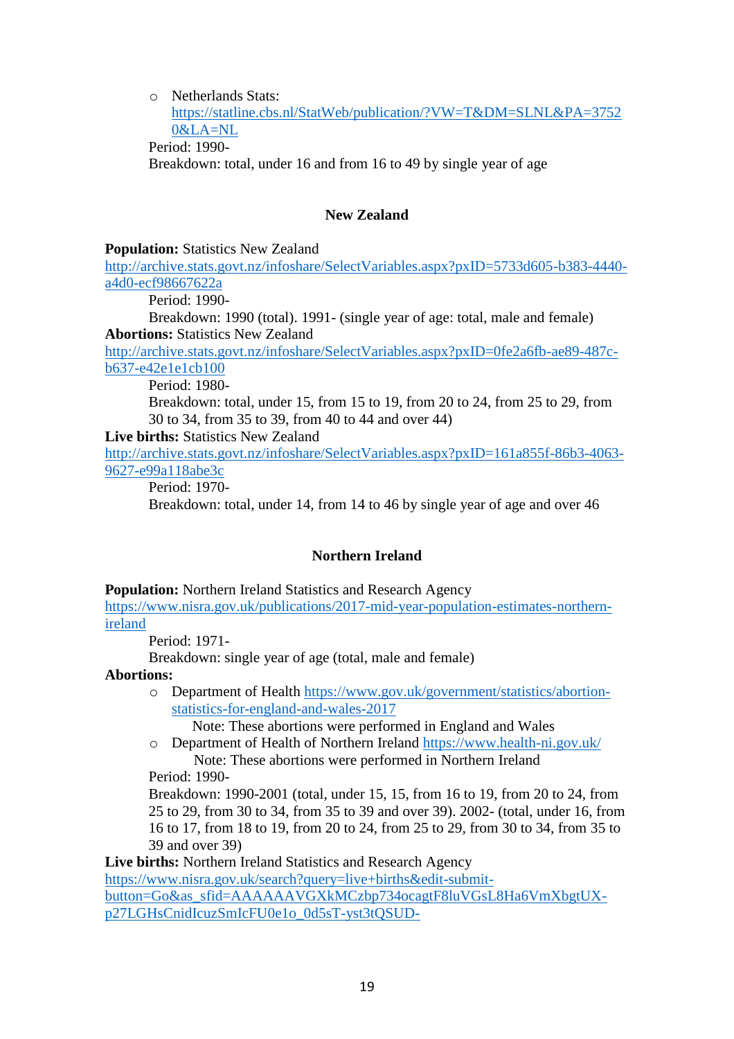o Netherlands Stats: [https://statline.cbs.nl/StatWeb/publication/?VW=T&DM=SLNL&PA=3752](https://statline.cbs.nl/StatWeb/publication/?VW=T&DM=SLNL&PA=37520&LA=NL) [0&LA=NL](https://statline.cbs.nl/StatWeb/publication/?VW=T&DM=SLNL&PA=37520&LA=NL) Period: 1990- Breakdown: total, under 16 and from 16 to 49 by single year of age

### **New Zealand**

### **Population:** Statistics New Zealand

[http://archive.stats.govt.nz/infoshare/SelectVariables.aspx?pxID=5733d605-b383-4440](http://archive.stats.govt.nz/infoshare/SelectVariables.aspx?pxID=5733d605-b383-4440-a4d0-ecf98667622a) [a4d0-ecf98667622a](http://archive.stats.govt.nz/infoshare/SelectVariables.aspx?pxID=5733d605-b383-4440-a4d0-ecf98667622a)

Period: 1990-

Breakdown: 1990 (total). 1991- (single year of age: total, male and female) **Abortions:** Statistics New Zealand

[http://archive.stats.govt.nz/infoshare/SelectVariables.aspx?pxID=0fe2a6fb-ae89-487c](http://archive.stats.govt.nz/infoshare/SelectVariables.aspx?pxID=0fe2a6fb-ae89-487c-b637-e42e1e1cb100)[b637-e42e1e1cb100](http://archive.stats.govt.nz/infoshare/SelectVariables.aspx?pxID=0fe2a6fb-ae89-487c-b637-e42e1e1cb100)

Period: 1980-

Breakdown: total, under 15, from 15 to 19, from 20 to 24, from 25 to 29, from 30 to 34, from 35 to 39, from 40 to 44 and over 44)

**Live births:** Statistics New Zealand

[http://archive.stats.govt.nz/infoshare/SelectVariables.aspx?pxID=161a855f-86b3-4063-](http://archive.stats.govt.nz/infoshare/SelectVariables.aspx?pxID=161a855f-86b3-4063-9627-e99a118abe3c) [9627-e99a118abe3c](http://archive.stats.govt.nz/infoshare/SelectVariables.aspx?pxID=161a855f-86b3-4063-9627-e99a118abe3c)

Period: 1970-

Breakdown: total, under 14, from 14 to 46 by single year of age and over 46

## **Northern Ireland**

### **Population:** Northern Ireland Statistics and Research Agency

[https://www.nisra.gov.uk/publications/2017-mid-year-population-estimates-northern](https://www.nisra.gov.uk/publications/2017-mid-year-population-estimates-northern-ireland)[ireland](https://www.nisra.gov.uk/publications/2017-mid-year-population-estimates-northern-ireland)

Period: 1971-

Breakdown: single year of age (total, male and female)

## **Abortions:**

o Department of Health [https://www.gov.uk/government/statistics/abortion](https://www.gov.uk/government/statistics/abortion-statistics-for-england-and-wales-2017)[statistics-for-england-and-wales-2017](https://www.gov.uk/government/statistics/abortion-statistics-for-england-and-wales-2017)

Note: These abortions were performed in England and Wales

o Department of Health of Northern Ireland<https://www.health-ni.gov.uk/> Note: These abortions were performed in Northern Ireland

Period: 1990-

Breakdown: 1990-2001 (total, under 15, 15, from 16 to 19, from 20 to 24, from 25 to 29, from 30 to 34, from 35 to 39 and over 39). 2002- (total, under 16, from 16 to 17, from 18 to 19, from 20 to 24, from 25 to 29, from 30 to 34, from 35 to 39 and over 39)

**Live births:** Northern Ireland Statistics and Research Agency

[https://www.nisra.gov.uk/search?query=live+births&edit-submit-](https://www.nisra.gov.uk/search?query=live+births&edit-submit-button=Go&as_sfid=AAAAAAVGXkMCzbp734ocagtF8luVGsL8Ha6VmXbgtUX-p27LGHsCnidIcuzSmIcFU0e1o_0d5sT-yst3tQSUD-5a75ykgy1QG4D18i7SfCIKPIZ4IjRrAqmGP1CUqCnZMpm3eKg%3D&as_fid=dcfc6c6087c9af06ef3169b1182abd8acc854089)

[button=Go&as\\_sfid=AAAAAAVGXkMCzbp734ocagtF8luVGsL8Ha6VmXbgtUX](https://www.nisra.gov.uk/search?query=live+births&edit-submit-button=Go&as_sfid=AAAAAAVGXkMCzbp734ocagtF8luVGsL8Ha6VmXbgtUX-p27LGHsCnidIcuzSmIcFU0e1o_0d5sT-yst3tQSUD-5a75ykgy1QG4D18i7SfCIKPIZ4IjRrAqmGP1CUqCnZMpm3eKg%3D&as_fid=dcfc6c6087c9af06ef3169b1182abd8acc854089)[p27LGHsCnidIcuzSmIcFU0e1o\\_0d5sT-yst3tQSUD-](https://www.nisra.gov.uk/search?query=live+births&edit-submit-button=Go&as_sfid=AAAAAAVGXkMCzbp734ocagtF8luVGsL8Ha6VmXbgtUX-p27LGHsCnidIcuzSmIcFU0e1o_0d5sT-yst3tQSUD-5a75ykgy1QG4D18i7SfCIKPIZ4IjRrAqmGP1CUqCnZMpm3eKg%3D&as_fid=dcfc6c6087c9af06ef3169b1182abd8acc854089)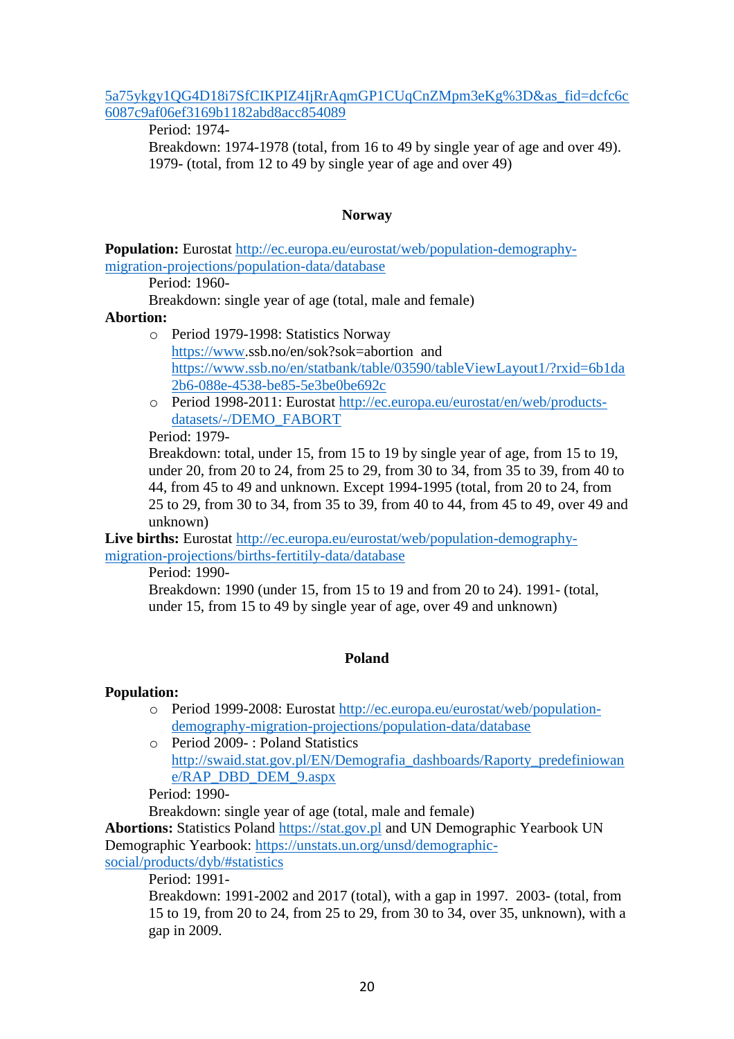### [5a75ykgy1QG4D18i7SfCIKPIZ4IjRrAqmGP1CUqCnZMpm3eKg%3D&as\\_fid=dcfc6c](https://www.nisra.gov.uk/search?query=live+births&edit-submit-button=Go&as_sfid=AAAAAAVGXkMCzbp734ocagtF8luVGsL8Ha6VmXbgtUX-p27LGHsCnidIcuzSmIcFU0e1o_0d5sT-yst3tQSUD-5a75ykgy1QG4D18i7SfCIKPIZ4IjRrAqmGP1CUqCnZMpm3eKg%3D&as_fid=dcfc6c6087c9af06ef3169b1182abd8acc854089) [6087c9af06ef3169b1182abd8acc854089](https://www.nisra.gov.uk/search?query=live+births&edit-submit-button=Go&as_sfid=AAAAAAVGXkMCzbp734ocagtF8luVGsL8Ha6VmXbgtUX-p27LGHsCnidIcuzSmIcFU0e1o_0d5sT-yst3tQSUD-5a75ykgy1QG4D18i7SfCIKPIZ4IjRrAqmGP1CUqCnZMpm3eKg%3D&as_fid=dcfc6c6087c9af06ef3169b1182abd8acc854089)

Period: 1974-

Breakdown: 1974-1978 (total, from 16 to 49 by single year of age and over 49). 1979- (total, from 12 to 49 by single year of age and over 49)

## **Norway**

**Population:** Eurostat [http://ec.europa.eu/eurostat/web/population-demography](http://ec.europa.eu/eurostat/web/population-demography-migration-projections/population-data/database)[migration-projections/population-data/database](http://ec.europa.eu/eurostat/web/population-demography-migration-projections/population-data/database)

Period: 1960-

Breakdown: single year of age (total, male and female)

### **Abortion:**

- o Period 1979-1998: Statistics Norway [https://www.](https://www/)ssb.no/en/sok?sok=abortion and [https://www.ssb.no/en/statbank/table/03590/tableViewLayout1/?rxid=6b1da](https://www.ssb.no/en/statbank/table/03590/tableViewLayout1/?rxid=6b1da2b6-088e-4538-be85-5e3be0be692c) [2b6-088e-4538-be85-5e3be0be692c](https://www.ssb.no/en/statbank/table/03590/tableViewLayout1/?rxid=6b1da2b6-088e-4538-be85-5e3be0be692c)
- o Period 1998-2011: Eurostat [http://ec.europa.eu/eurostat/en/web/products](http://ec.europa.eu/eurostat/en/web/products-datasets/-/DEMO_FABORT)[datasets/-/DEMO\\_FABORT](http://ec.europa.eu/eurostat/en/web/products-datasets/-/DEMO_FABORT)

### Period: 1979-

Breakdown: total, under 15, from 15 to 19 by single year of age, from 15 to 19, under 20, from 20 to 24, from 25 to 29, from 30 to 34, from 35 to 39, from 40 to 44, from 45 to 49 and unknown. Except 1994-1995 (total, from 20 to 24, from 25 to 29, from 30 to 34, from 35 to 39, from 40 to 44, from 45 to 49, over 49 and unknown)

**Live births:** Eurostat [http://ec.europa.eu/eurostat/web/population-demography](http://ec.europa.eu/eurostat/web/population-demography-migration-projections/births-fertitily-data/database)[migration-projections/births-fertitily-data/database](http://ec.europa.eu/eurostat/web/population-demography-migration-projections/births-fertitily-data/database)

Period: 1990-

Breakdown: 1990 (under 15, from 15 to 19 and from 20 to 24). 1991- (total, under 15, from 15 to 49 by single year of age, over 49 and unknown)

## **Poland**

## **Population:**

- o Period 1999-2008: Eurostat [http://ec.europa.eu/eurostat/web/population](http://ec.europa.eu/eurostat/web/population-demography-migration-projections/population-data/database)[demography-migration-projections/population-data/database](http://ec.europa.eu/eurostat/web/population-demography-migration-projections/population-data/database)
- o Period 2009- : Poland Statistics [http://swaid.stat.gov.pl/EN/Demografia\\_dashboards/Raporty\\_predefiniowan](http://swaid.stat.gov.pl/EN/Demografia_dashboards/Raporty_predefiniowane/RAP_DBD_DEM_9.aspx) [e/RAP\\_DBD\\_DEM\\_9.aspx](http://swaid.stat.gov.pl/EN/Demografia_dashboards/Raporty_predefiniowane/RAP_DBD_DEM_9.aspx)

Period: 1990-

Breakdown: single year of age (total, male and female)

**Abortions:** Statistics Poland [https://stat.gov.pl](https://stat.gov.pl/) and UN Demographic Yearbook UN Demographic Yearbook: [https://unstats.un.org/unsd/demographic-](https://unstats.un.org/unsd/demographic-social/products/dyb/#statistics)

[social/products/dyb/#statistics](https://unstats.un.org/unsd/demographic-social/products/dyb/#statistics)

Period: 1991-

Breakdown: 1991-2002 and 2017 (total), with a gap in 1997. 2003- (total, from 15 to 19, from 20 to 24, from 25 to 29, from 30 to 34, over 35, unknown), with a gap in 2009.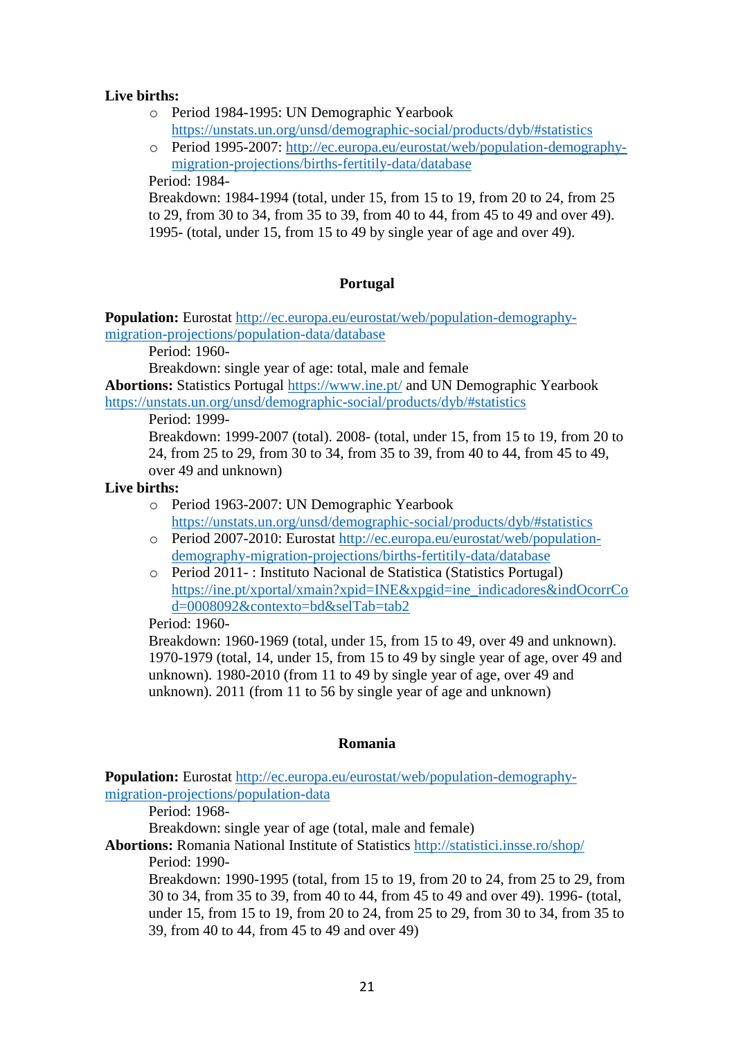## **Live births:**

o Period 1984-1995: UN Demographic Yearbook

<https://unstats.un.org/unsd/demographic-social/products/dyb/#statistics>

o Period 1995-2007: [http://ec.europa.eu/eurostat/web/population-demography](http://ec.europa.eu/eurostat/web/population-demography-migration-projections/births-fertitily-data/database)[migration-projections/births-fertitily-data/database](http://ec.europa.eu/eurostat/web/population-demography-migration-projections/births-fertitily-data/database)

Period: 1984-

Breakdown: 1984-1994 (total, under 15, from 15 to 19, from 20 to 24, from 25 to 29, from 30 to 34, from 35 to 39, from 40 to 44, from 45 to 49 and over 49). 1995- (total, under 15, from 15 to 49 by single year of age and over 49).

## **Portugal**

**Population:** Eurostat [http://ec.europa.eu/eurostat/web/population-demography](http://ec.europa.eu/eurostat/web/population-demography-migration-projections/population-data/database)[migration-projections/population-data/database](http://ec.europa.eu/eurostat/web/population-demography-migration-projections/population-data/database)

Period: 1960-

Breakdown: single year of age: total, male and female

**Abortions:** Statistics Portugal<https://www.ine.pt/> and UN Demographic Yearbook <https://unstats.un.org/unsd/demographic-social/products/dyb/#statistics>

Period: 1999-

Breakdown: 1999-2007 (total). 2008- (total, under 15, from 15 to 19, from 20 to 24, from 25 to 29, from 30 to 34, from 35 to 39, from 40 to 44, from 45 to 49, over 49 and unknown)

## **Live births:**

- o Period 1963-2007: UN Demographic Yearbook <https://unstats.un.org/unsd/demographic-social/products/dyb/#statistics>
- o Period 2007-2010: Eurostat [http://ec.europa.eu/eurostat/web/population](http://ec.europa.eu/eurostat/web/population-demography-migration-projections/births-fertitily-data/database)[demography-migration-projections/births-fertitily-data/database](http://ec.europa.eu/eurostat/web/population-demography-migration-projections/births-fertitily-data/database)
- o Period 2011- : Instituto Nacional de Statistica (Statistics Portugal) [https://ine.pt/xportal/xmain?xpid=INE&xpgid=ine\\_indicadores&indOcorrCo](https://ine.pt/xportal/xmain?xpid=INE&xpgid=ine_indicadores&indOcorrCod=0008092&contexto=bd&selTab=tab2) [d=0008092&contexto=bd&selTab=tab2](https://ine.pt/xportal/xmain?xpid=INE&xpgid=ine_indicadores&indOcorrCod=0008092&contexto=bd&selTab=tab2)

### Period: 1960-

Breakdown: 1960-1969 (total, under 15, from 15 to 49, over 49 and unknown). 1970-1979 (total, 14, under 15, from 15 to 49 by single year of age, over 49 and unknown). 1980-2010 (from 11 to 49 by single year of age, over 49 and unknown). 2011 (from 11 to 56 by single year of age and unknown)

### **Romania**

**Population:** Eurostat [http://ec.europa.eu/eurostat/web/population-demography](http://ec.europa.eu/eurostat/web/population-demography-migration-projections/population-data)[migration-projections/population-data](http://ec.europa.eu/eurostat/web/population-demography-migration-projections/population-data)

Period: 1968-

Breakdown: single year of age (total, male and female)

**Abortions:** Romania National Institute of Statistics<http://statistici.insse.ro/shop/> Period: 1990-

Breakdown: 1990-1995 (total, from 15 to 19, from 20 to 24, from 25 to 29, from 30 to 34, from 35 to 39, from 40 to 44, from 45 to 49 and over 49). 1996- (total, under 15, from 15 to 19, from 20 to 24, from 25 to 29, from 30 to 34, from 35 to 39, from 40 to 44, from 45 to 49 and over 49)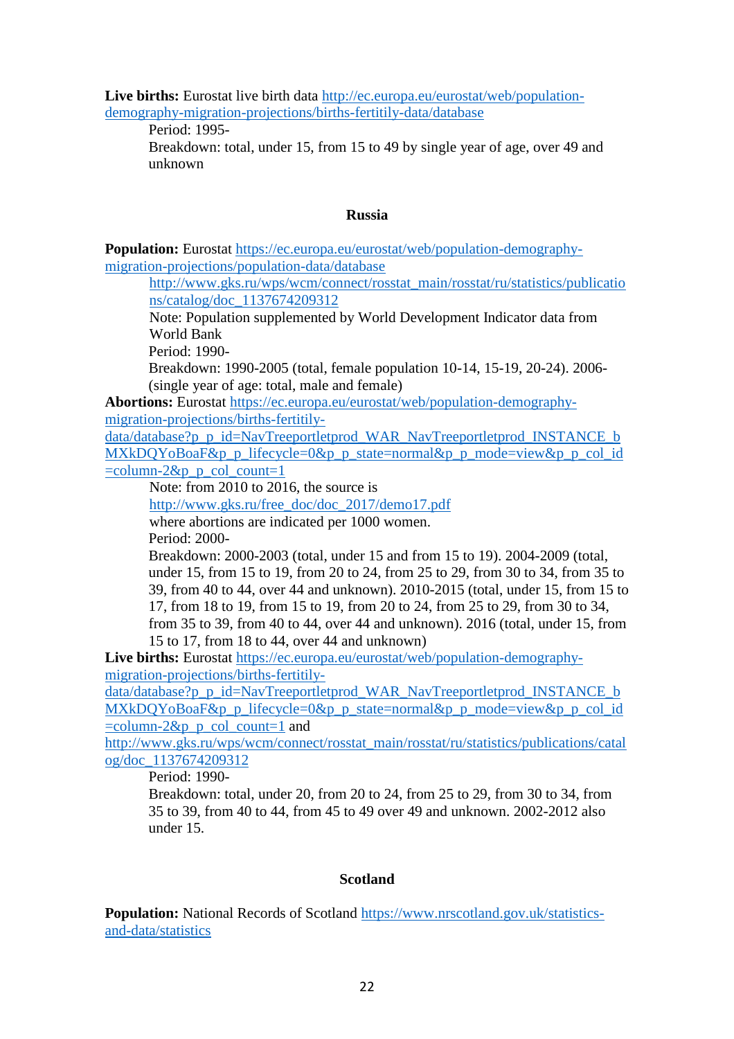**Live births:** Eurostat live birth data [http://ec.europa.eu/eurostat/web/population](http://ec.europa.eu/eurostat/web/population-demography-migration-projections/births-fertitily-data/database)[demography-migration-projections/births-fertitily-data/database](http://ec.europa.eu/eurostat/web/population-demography-migration-projections/births-fertitily-data/database)

Period: 1995-

Breakdown: total, under 15, from 15 to 49 by single year of age, over 49 and unknown

### **Russia**

**Population:** Eurostat [https://ec.europa.eu/eurostat/web/population-demography](https://ec.europa.eu/eurostat/web/population-demography-migration-projections/population-data/database)[migration-projections/population-data/database](https://ec.europa.eu/eurostat/web/population-demography-migration-projections/population-data/database)

[http://www.gks.ru/wps/wcm/connect/rosstat\\_main/rosstat/ru/statistics/publicatio](http://www.gks.ru/wps/wcm/connect/rosstat_main/rosstat/ru/statistics/publications/catalog/doc_1137674209312) [ns/catalog/doc\\_1137674209312](http://www.gks.ru/wps/wcm/connect/rosstat_main/rosstat/ru/statistics/publications/catalog/doc_1137674209312)

Note: Population supplemented by World Development Indicator data from World Bank

Period: 1990-

Breakdown: 1990-2005 (total, female population 10-14, 15-19, 20-24). 2006- (single year of age: total, male and female)

**Abortions:** Eurostat [https://ec.europa.eu/eurostat/web/population-demography](https://ec.europa.eu/eurostat/web/population-demography-migration-projections/births-fertitily-data/database?p_p_id=NavTreeportletprod_WAR_NavTreeportletprod_INSTANCE_bMXkDQYoBoaF&p_p_lifecycle=0&p_p_state=normal&p_p_mode=view&p_p_col_id=column-2&p_p_col_count=1)[migration-projections/births-fertitily-](https://ec.europa.eu/eurostat/web/population-demography-migration-projections/births-fertitily-data/database?p_p_id=NavTreeportletprod_WAR_NavTreeportletprod_INSTANCE_bMXkDQYoBoaF&p_p_lifecycle=0&p_p_state=normal&p_p_mode=view&p_p_col_id=column-2&p_p_col_count=1)

[data/database?p\\_p\\_id=NavTreeportletprod\\_WAR\\_NavTreeportletprod\\_INSTANCE\\_b](https://ec.europa.eu/eurostat/web/population-demography-migration-projections/births-fertitily-data/database?p_p_id=NavTreeportletprod_WAR_NavTreeportletprod_INSTANCE_bMXkDQYoBoaF&p_p_lifecycle=0&p_p_state=normal&p_p_mode=view&p_p_col_id=column-2&p_p_col_count=1) [MXkDQYoBoaF&p\\_p\\_lifecycle=0&p\\_p\\_state=normal&p\\_p\\_mode=view&p\\_p\\_col\\_id](https://ec.europa.eu/eurostat/web/population-demography-migration-projections/births-fertitily-data/database?p_p_id=NavTreeportletprod_WAR_NavTreeportletprod_INSTANCE_bMXkDQYoBoaF&p_p_lifecycle=0&p_p_state=normal&p_p_mode=view&p_p_col_id=column-2&p_p_col_count=1)  $=$ column-2&p p col count=1

Note: from 2010 to 2016, the source is

[http://www.gks.ru/free\\_doc/doc\\_2017/demo17.pdf](http://www.gks.ru/free_doc/doc_2017/demo17.pdf) where abortions are indicated per 1000 women.

Period: 2000-

Breakdown: 2000-2003 (total, under 15 and from 15 to 19). 2004-2009 (total, under 15, from 15 to 19, from 20 to 24, from 25 to 29, from 30 to 34, from 35 to 39, from 40 to 44, over 44 and unknown). 2010-2015 (total, under 15, from 15 to 17, from 18 to 19, from 15 to 19, from 20 to 24, from 25 to 29, from 30 to 34, from 35 to 39, from 40 to 44, over 44 and unknown). 2016 (total, under 15, from 15 to 17, from 18 to 44, over 44 and unknown)

**Live births:** Eurostat [https://ec.europa.eu/eurostat/web/population-demography](https://ec.europa.eu/eurostat/web/population-demography-migration-projections/births-fertitily-data/database?p_p_id=NavTreeportletprod_WAR_NavTreeportletprod_INSTANCE_bMXkDQYoBoaF&p_p_lifecycle=0&p_p_state=normal&p_p_mode=view&p_p_col_id=column-2&p_p_col_count=1)[migration-projections/births-fertitily-](https://ec.europa.eu/eurostat/web/population-demography-migration-projections/births-fertitily-data/database?p_p_id=NavTreeportletprod_WAR_NavTreeportletprod_INSTANCE_bMXkDQYoBoaF&p_p_lifecycle=0&p_p_state=normal&p_p_mode=view&p_p_col_id=column-2&p_p_col_count=1)

[data/database?p\\_p\\_id=NavTreeportletprod\\_WAR\\_NavTreeportletprod\\_INSTANCE\\_b](https://ec.europa.eu/eurostat/web/population-demography-migration-projections/births-fertitily-data/database?p_p_id=NavTreeportletprod_WAR_NavTreeportletprod_INSTANCE_bMXkDQYoBoaF&p_p_lifecycle=0&p_p_state=normal&p_p_mode=view&p_p_col_id=column-2&p_p_col_count=1)  $MXkDOYoBoaF&p$  p lifecycle=0&p p state=normal&p p mode=view&p p col id  $=$ column-2&p p\_col\_count=1 and

[http://www.gks.ru/wps/wcm/connect/rosstat\\_main/rosstat/ru/statistics/publications/catal](http://www.gks.ru/wps/wcm/connect/rosstat_main/rosstat/ru/statistics/publications/catalog/doc_1137674209312) [og/doc\\_1137674209312](http://www.gks.ru/wps/wcm/connect/rosstat_main/rosstat/ru/statistics/publications/catalog/doc_1137674209312)

Period: 1990-

Breakdown: total, under 20, from 20 to 24, from 25 to 29, from 30 to 34, from 35 to 39, from 40 to 44, from 45 to 49 over 49 and unknown. 2002-2012 also under 15.

## **Scotland**

**Population:** National Records of Scotland [https://www.nrscotland.gov.uk/statistics](https://www.nrscotland.gov.uk/statistics-and-data/statistics)[and-data/statistics](https://www.nrscotland.gov.uk/statistics-and-data/statistics)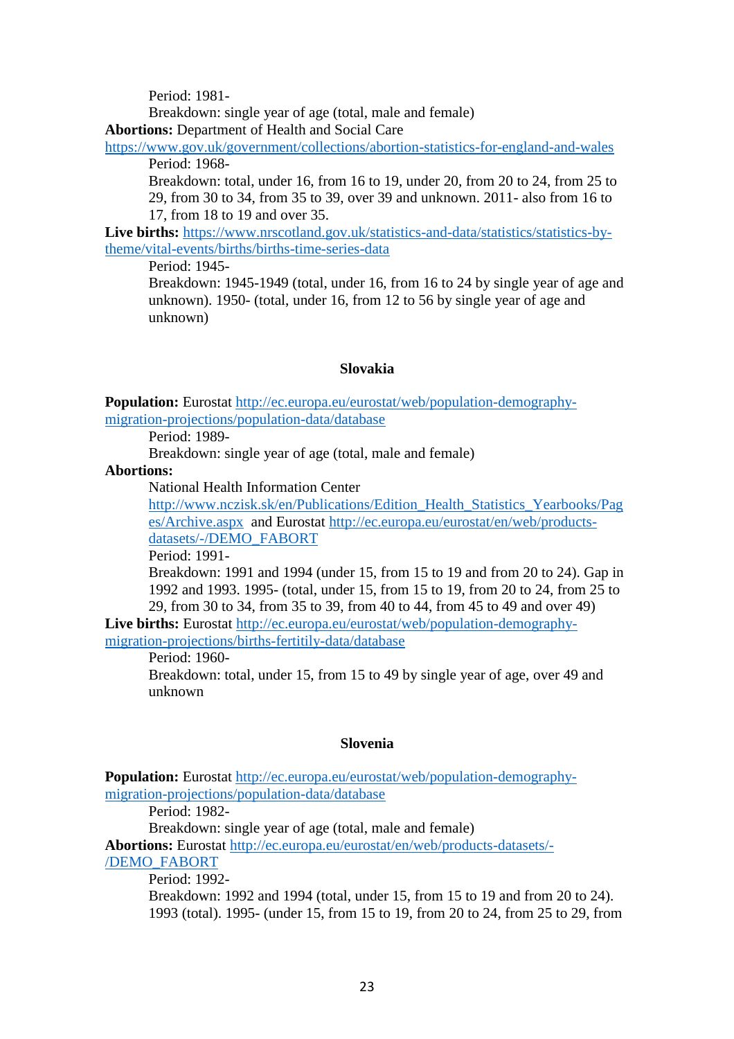Period: 1981-

Breakdown: single year of age (total, male and female)

**Abortions:** Department of Health and Social Care

<https://www.gov.uk/government/collections/abortion-statistics-for-england-and-wales> Period: 1968-

Breakdown: total, under 16, from 16 to 19, under 20, from 20 to 24, from 25 to 29, from 30 to 34, from 35 to 39, over 39 and unknown. 2011- also from 16 to 17, from 18 to 19 and over 35.

**Live births:** [https://www.nrscotland.gov.uk/statistics-and-data/statistics/statistics-by](https://www.nrscotland.gov.uk/statistics-and-data/statistics/statistics-by-theme/vital-events/births/births-time-series-data)[theme/vital-events/births/births-time-series-data](https://www.nrscotland.gov.uk/statistics-and-data/statistics/statistics-by-theme/vital-events/births/births-time-series-data)

Period: 1945-

Breakdown: 1945-1949 (total, under 16, from 16 to 24 by single year of age and unknown). 1950- (total, under 16, from 12 to 56 by single year of age and unknown)

#### **Slovakia**

**Population:** Eurostat [http://ec.europa.eu/eurostat/web/population-demography](http://ec.europa.eu/eurostat/web/population-demography-migration-projections/population-data/database)[migration-projections/population-data/database](http://ec.europa.eu/eurostat/web/population-demography-migration-projections/population-data/database)

Period: 1989-

Breakdown: single year of age (total, male and female)

**Abortions:**

National Health Information Center

[http://www.nczisk.sk/en/Publications/Edition\\_Health\\_Statistics\\_Yearbooks/Pag](http://www.nczisk.sk/en/Publications/Edition_Health_Statistics_Yearbooks/Pages/Archive.aspx) [es/Archive.aspx](http://www.nczisk.sk/en/Publications/Edition_Health_Statistics_Yearbooks/Pages/Archive.aspx) and Eurostat [http://ec.europa.eu/eurostat/en/web/products](http://ec.europa.eu/eurostat/en/web/products-datasets/-/DEMO_FABORT)[datasets/-/DEMO\\_FABORT](http://ec.europa.eu/eurostat/en/web/products-datasets/-/DEMO_FABORT)

Period: 1991-

Breakdown: 1991 and 1994 (under 15, from 15 to 19 and from 20 to 24). Gap in 1992 and 1993. 1995- (total, under 15, from 15 to 19, from 20 to 24, from 25 to 29, from 30 to 34, from 35 to 39, from 40 to 44, from 45 to 49 and over 49)

**Live births:** Eurostat [http://ec.europa.eu/eurostat/web/population-demography](http://ec.europa.eu/eurostat/web/population-demography-migration-projections/births-fertitily-data/database)[migration-projections/births-fertitily-data/database](http://ec.europa.eu/eurostat/web/population-demography-migration-projections/births-fertitily-data/database)

Period: 1960-

Breakdown: total, under 15, from 15 to 49 by single year of age, over 49 and unknown

#### **Slovenia**

**Population:** Eurostat [http://ec.europa.eu/eurostat/web/population-demography](http://ec.europa.eu/eurostat/web/population-demography-migration-projections/population-data/database)[migration-projections/population-data/database](http://ec.europa.eu/eurostat/web/population-demography-migration-projections/population-data/database)

Period: 1982-

Breakdown: single year of age (total, male and female)

**Abortions:** Eurostat [http://ec.europa.eu/eurostat/en/web/products-datasets/-](http://ec.europa.eu/eurostat/en/web/products-datasets/-/DEMO_FABORT) [/DEMO\\_FABORT](http://ec.europa.eu/eurostat/en/web/products-datasets/-/DEMO_FABORT)

Period: 1992-

Breakdown: 1992 and 1994 (total, under 15, from 15 to 19 and from 20 to 24). 1993 (total). 1995- (under 15, from 15 to 19, from 20 to 24, from 25 to 29, from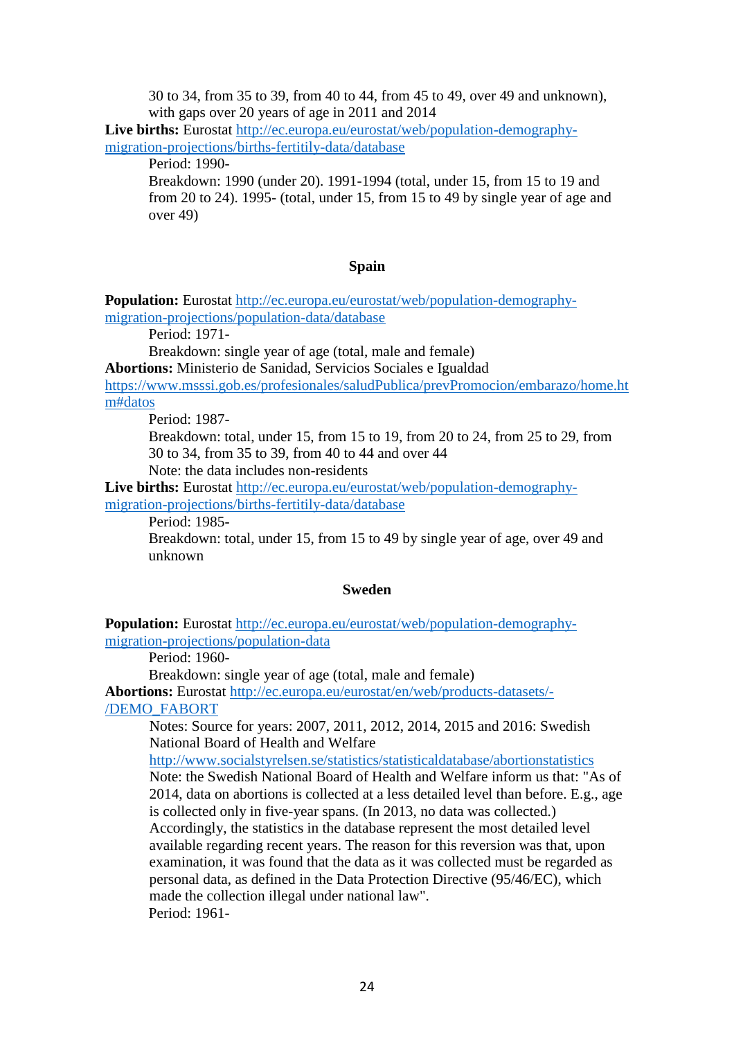30 to 34, from 35 to 39, from 40 to 44, from 45 to 49, over 49 and unknown), with gaps over 20 years of age in 2011 and 2014

**Live births:** Eurostat [http://ec.europa.eu/eurostat/web/population-demography](http://ec.europa.eu/eurostat/web/population-demography-migration-projections/births-fertitily-data/database)[migration-projections/births-fertitily-data/database](http://ec.europa.eu/eurostat/web/population-demography-migration-projections/births-fertitily-data/database)

Period: 1990-

Breakdown: 1990 (under 20). 1991-1994 (total, under 15, from 15 to 19 and from 20 to 24). 1995- (total, under 15, from 15 to 49 by single year of age and over 49)

#### **Spain**

**Population:** Eurostat [http://ec.europa.eu/eurostat/web/population-demography](http://ec.europa.eu/eurostat/web/population-demography-migration-projections/population-data/database)[migration-projections/population-data/database](http://ec.europa.eu/eurostat/web/population-demography-migration-projections/population-data/database)

Period: 1971-

Breakdown: single year of age (total, male and female)

**Abortions:** Ministerio de Sanidad, Servicios Sociales e Igualdad

[https://www.msssi.gob.es/profesionales/saludPublica/prevPromocion/embarazo/home.ht](https://www.msssi.gob.es/profesionales/saludPublica/prevPromocion/embarazo/home.htm#datos) [m#datos](https://www.msssi.gob.es/profesionales/saludPublica/prevPromocion/embarazo/home.htm#datos)

Period: 1987-

Breakdown: total, under 15, from 15 to 19, from 20 to 24, from 25 to 29, from 30 to 34, from 35 to 39, from 40 to 44 and over 44

Note: the data includes non-residents

**Live births:** Eurostat [http://ec.europa.eu/eurostat/web/population-demography](http://ec.europa.eu/eurostat/web/population-demography-migration-projections/births-fertitily-data/database)[migration-projections/births-fertitily-data/database](http://ec.europa.eu/eurostat/web/population-demography-migration-projections/births-fertitily-data/database)

Period: 1985-

Breakdown: total, under 15, from 15 to 49 by single year of age, over 49 and unknown

#### **Sweden**

**Population:** Eurostat [http://ec.europa.eu/eurostat/web/population-demography](http://ec.europa.eu/eurostat/web/population-demography-migration-projections/population-data)[migration-projections/population-data](http://ec.europa.eu/eurostat/web/population-demography-migration-projections/population-data)

Period: 1960-

Breakdown: single year of age (total, male and female)

**Abortions:** Eurostat [http://ec.europa.eu/eurostat/en/web/products-datasets/-](http://ec.europa.eu/eurostat/en/web/products-datasets/-/DEMO_FABORT) [/DEMO\\_FABORT](http://ec.europa.eu/eurostat/en/web/products-datasets/-/DEMO_FABORT)

Notes: Source for years: 2007, 2011, 2012, 2014, 2015 and 2016: Swedish National Board of Health and Welfare

<http://www.socialstyrelsen.se/statistics/statisticaldatabase/abortionstatistics>

Note: the Swedish National Board of Health and Welfare inform us that: "As of 2014, data on abortions is collected at a less detailed level than before. E.g., age is collected only in five-year spans. (In 2013, no data was collected.) Accordingly, the statistics in the database represent the most detailed level available regarding recent years. The reason for this reversion was that, upon examination, it was found that the data as it was collected must be regarded as personal data, as defined in the Data Protection Directive (95/46/EC), which made the collection illegal under national law". Period: 1961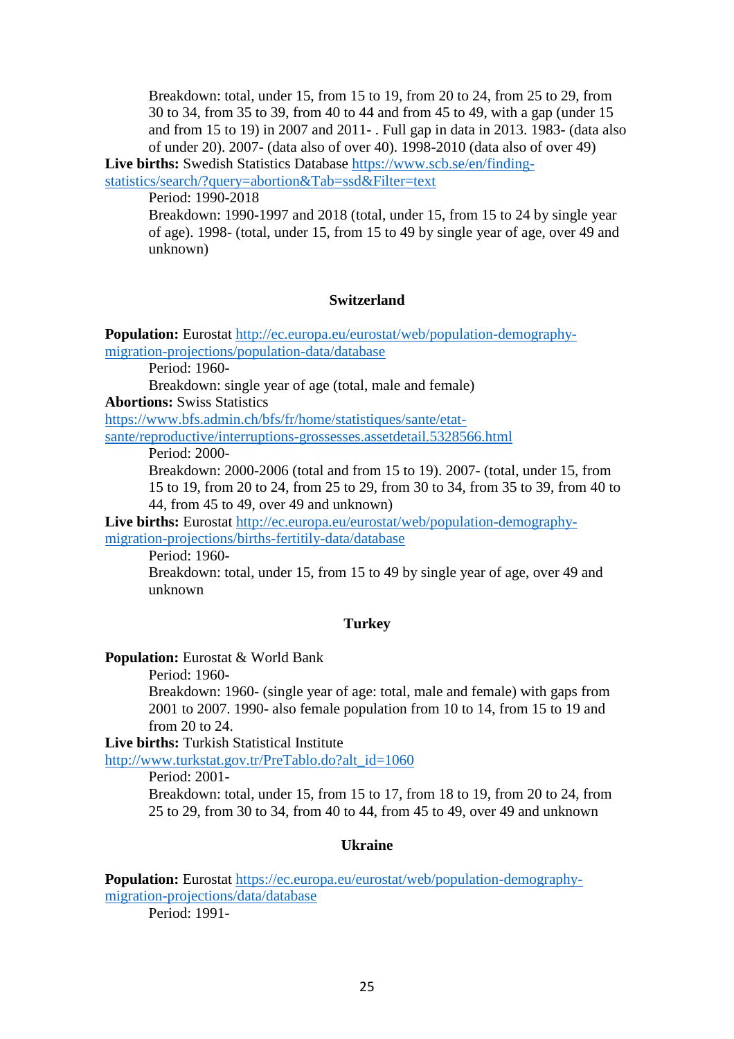Breakdown: total, under 15, from 15 to 19, from 20 to 24, from 25 to 29, from 30 to 34, from 35 to 39, from 40 to 44 and from 45 to 49, with a gap (under 15 and from 15 to 19) in 2007 and 2011- . Full gap in data in 2013. 1983- (data also of under 20). 2007- (data also of over 40). 1998-2010 (data also of over 49)

**Live births:** Swedish Statistics Database [https://www.scb.se/en/finding](https://www.scb.se/en/finding-statistics/search/?query=abortion&Tab=ssd&Filter=text)[statistics/search/?query=abortion&Tab=ssd&Filter=text](https://www.scb.se/en/finding-statistics/search/?query=abortion&Tab=ssd&Filter=text)

Period: 1990-2018

Breakdown: 1990-1997 and 2018 (total, under 15, from 15 to 24 by single year of age). 1998- (total, under 15, from 15 to 49 by single year of age, over 49 and unknown)

### **Switzerland**

**Population:** Eurostat [http://ec.europa.eu/eurostat/web/population-demography](http://ec.europa.eu/eurostat/web/population-demography-migration-projections/population-data/database)[migration-projections/population-data/database](http://ec.europa.eu/eurostat/web/population-demography-migration-projections/population-data/database)

Period: 1960-

Breakdown: single year of age (total, male and female)

**Abortions:** Swiss Statistics

[https://www.bfs.admin.ch/bfs/fr/home/statistiques/sante/etat](https://www.bfs.admin.ch/bfs/fr/home/statistiques/sante/etat-sante/reproductive/interruptions-grossesses.assetdetail.5328566.html)[sante/reproductive/interruptions-grossesses.assetdetail.5328566.html](https://www.bfs.admin.ch/bfs/fr/home/statistiques/sante/etat-sante/reproductive/interruptions-grossesses.assetdetail.5328566.html)

Period: 2000-

Breakdown: 2000-2006 (total and from 15 to 19). 2007- (total, under 15, from 15 to 19, from 20 to 24, from 25 to 29, from 30 to 34, from 35 to 39, from 40 to 44, from 45 to 49, over 49 and unknown)

**Live births:** Eurostat [http://ec.europa.eu/eurostat/web/population-demography](http://ec.europa.eu/eurostat/web/population-demography-migration-projections/births-fertitily-data/database)[migration-projections/births-fertitily-data/database](http://ec.europa.eu/eurostat/web/population-demography-migration-projections/births-fertitily-data/database)

Period: 1960-

Breakdown: total, under 15, from 15 to 49 by single year of age, over 49 and unknown

### **Turkey**

**Population:** Eurostat & World Bank

Period: 1960-

Breakdown: 1960- (single year of age: total, male and female) with gaps from 2001 to 2007. 1990- also female population from 10 to 14, from 15 to 19 and from 20 to 24.

**Live births:** Turkish Statistical Institute

[http://www.turkstat.gov.tr/PreTablo.do?alt\\_id=1060](http://www.turkstat.gov.tr/PreTablo.do?alt_id=1060)

Period: 2001-

Breakdown: total, under 15, from 15 to 17, from 18 to 19, from 20 to 24, from 25 to 29, from 30 to 34, from 40 to 44, from 45 to 49, over 49 and unknown

## **Ukraine**

**Population:** Eurostat [https://ec.europa.eu/eurostat/web/population-demography](https://ec.europa.eu/eurostat/web/population-demography-migration-projections/data/database)[migration-projections/data/database](https://ec.europa.eu/eurostat/web/population-demography-migration-projections/data/database)

Period: 1991-